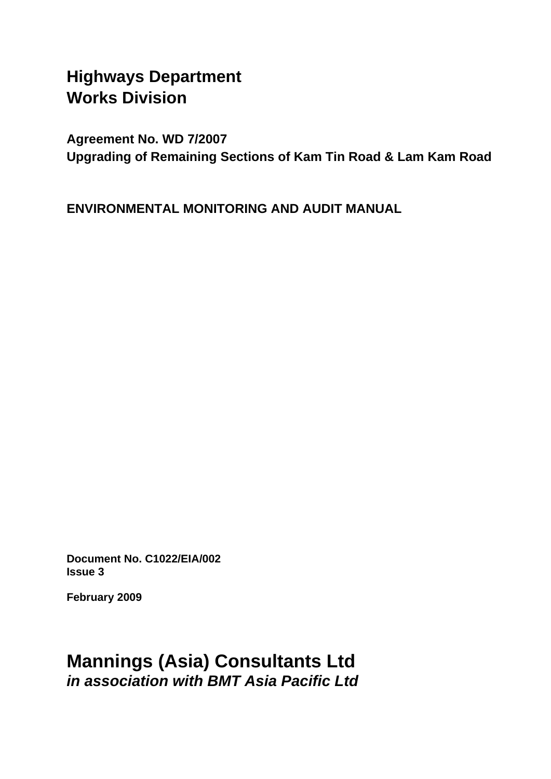# **Highways Department Works Division**

**Agreement No. WD 7/2007 Upgrading of Remaining Sections of Kam Tin Road & Lam Kam Road** 

**ENVIRONMENTAL MONITORING AND AUDIT MANUAL** 

**Document No. C1022/EIA/002 Issue 3** 

**February 2009** 

# **Mannings (Asia) Consultants Ltd**  *in association with BMT Asia Pacific Ltd*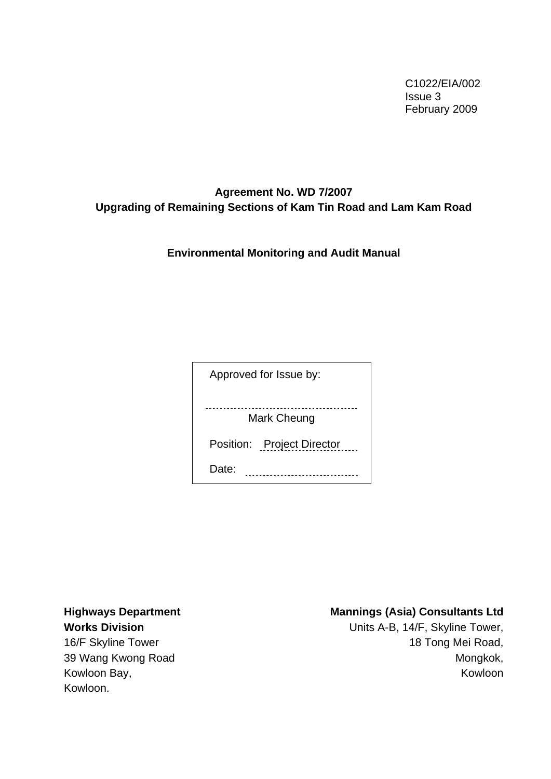C1022/EIA/002 Issue 3 February 2009

# **Agreement No. WD 7/2007 Upgrading of Remaining Sections of Kam Tin Road and Lam Kam Road**

**Environmental Monitoring and Audit Manual** 

Approved for Issue by:

Mark Cheung

Position: Project Director

Date: **.................................** 

**Highways Department Works Division** 

16/F Skyline Tower 39 Wang Kwong Road Kowloon Bay, Kowloon.

#### **Mannings (Asia) Consultants Ltd**

Units A-B, 14/F, Skyline Tower, 18 Tong Mei Road, Mongkok, Kowloon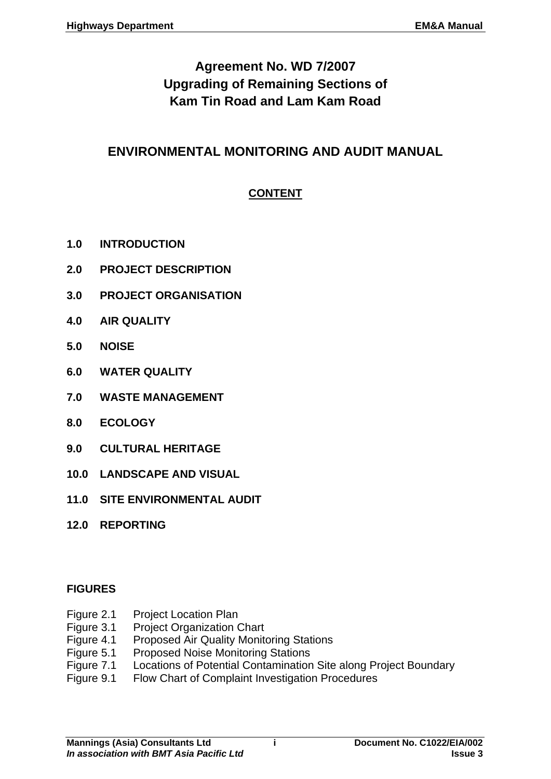# **Agreement No. WD 7/2007 Upgrading of Remaining Sections of Kam Tin Road and Lam Kam Road**

# **ENVIRONMENTAL MONITORING AND AUDIT MANUAL**

# **CONTENT**

- **1.0 [INTRODUCTION](#page-4-0)**
- **2.0 [PROJECT DESCRIPTION](#page-6-0)**
- **3.0 [PROJECT ORGANISATION](#page-7-0)**
- **4.0 [AIR QUALITY](#page-11-0)**
- **5.0 [NOISE](#page-17-0)**
- **6.0 [WATER QUALITY](#page-22-0)**
- **7.0 [WASTE MANAGEMENT](#page-24-0)**
- **8.0 [ECOLOGY](#page-27-0)**
- **9.0 [CULTURAL HERITAGE](#page-28-0)**
- **10.0 [LANDSCAPE AND VISUAL](#page-29-0)**
- **11.0 [SITE ENVIRONMENTAL AUDIT](#page-37-0)**
- **12.0 [REPORTING](#page-40-0)**

#### **FIGURES**

- Figure 2.1 Project Location Plan
- Figure 3.1 Project Organization Chart
- Figure 4.1 Proposed Air Quality Monitoring Stations
- Figure 5.1 Proposed Noise Monitoring Stations
- Figure 7.1 Locations of Potential Contamination Site along Project Boundary
- Figure 9.1 Flow Chart of Complaint Investigation Procedures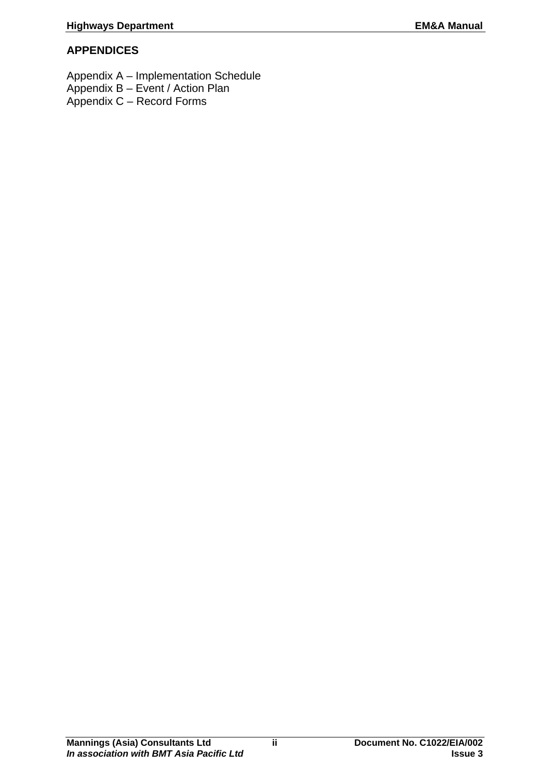# **APPENDICES**

Appendix A – Implementation Schedule

- Appendix B Event / Action Plan
- Appendix C Record Forms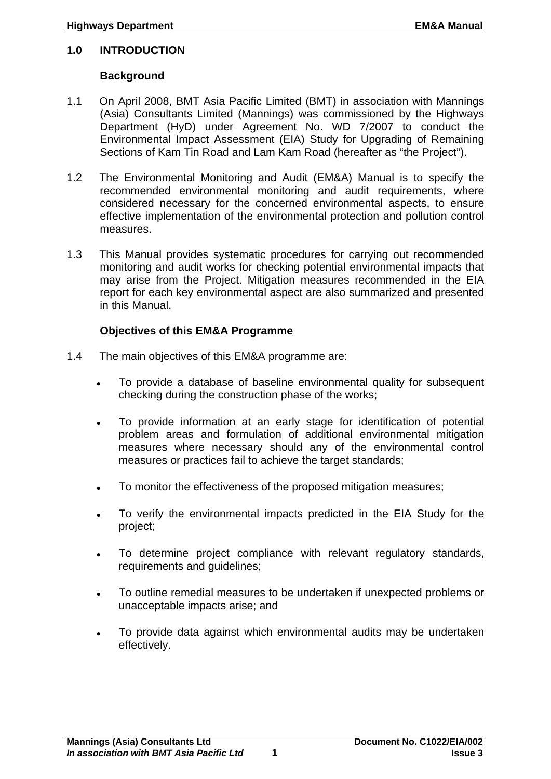#### <span id="page-4-0"></span>**1.0 INTRODUCTION**

#### **Background**

- 1.1 On April 2008, BMT Asia Pacific Limited (BMT) in association with Mannings (Asia) Consultants Limited (Mannings) was commissioned by the Highways Department (HyD) under Agreement No. WD 7/2007 to conduct the Environmental Impact Assessment (EIA) Study for Upgrading of Remaining Sections of Kam Tin Road and Lam Kam Road (hereafter as "the Project").
- 1.2 The Environmental Monitoring and Audit (EM&A) Manual is to specify the recommended environmental monitoring and audit requirements, where considered necessary for the concerned environmental aspects, to ensure effective implementation of the environmental protection and pollution control measures.
- 1.3 This Manual provides systematic procedures for carrying out recommended monitoring and audit works for checking potential environmental impacts that may arise from the Project. Mitigation measures recommended in the EIA report for each key environmental aspect are also summarized and presented in this Manual.

#### **Objectives of this EM&A Programme**

- 1.4 The main objectives of this EM&A programme are:
	- To provide a database of baseline environmental quality for subsequent checking during the construction phase of the works;
	- To provide information at an early stage for identification of potential problem areas and formulation of additional environmental mitigation measures where necessary should any of the environmental control measures or practices fail to achieve the target standards;
	- To monitor the effectiveness of the proposed mitigation measures;
	- To verify the environmental impacts predicted in the EIA Study for the project;
	- To determine project compliance with relevant regulatory standards, requirements and guidelines;
	- To outline remedial measures to be undertaken if unexpected problems or unacceptable impacts arise; and
	- To provide data against which environmental audits may be undertaken effectively.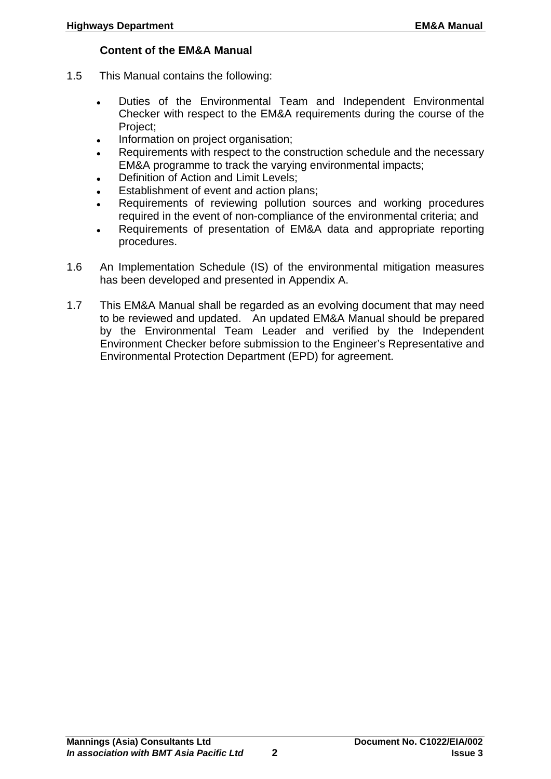## **Content of the EM&A Manual**

- 1.5 This Manual contains the following:
	- Duties of the Environmental Team and Independent Environmental Checker with respect to the EM&A requirements during the course of the Project;
	- Information on project organisation;
	- Requirements with respect to the construction schedule and the necessary EM&A programme to track the varying environmental impacts;
	- Definition of Action and Limit Levels;
	- Establishment of event and action plans;
	- Requirements of reviewing pollution sources and working procedures required in the event of non-compliance of the environmental criteria; and
	- Requirements of presentation of EM&A data and appropriate reporting procedures.
- 1.6 An Implementation Schedule (IS) of the environmental mitigation measures has been developed and presented in Appendix A.
- 1.7 This EM&A Manual shall be regarded as an evolving document that may need to be reviewed and updated. An updated EM&A Manual should be prepared by the Environmental Team Leader and verified by the Independent Environment Checker before submission to the Engineer's Representative and Environmental Protection Department (EPD) for agreement.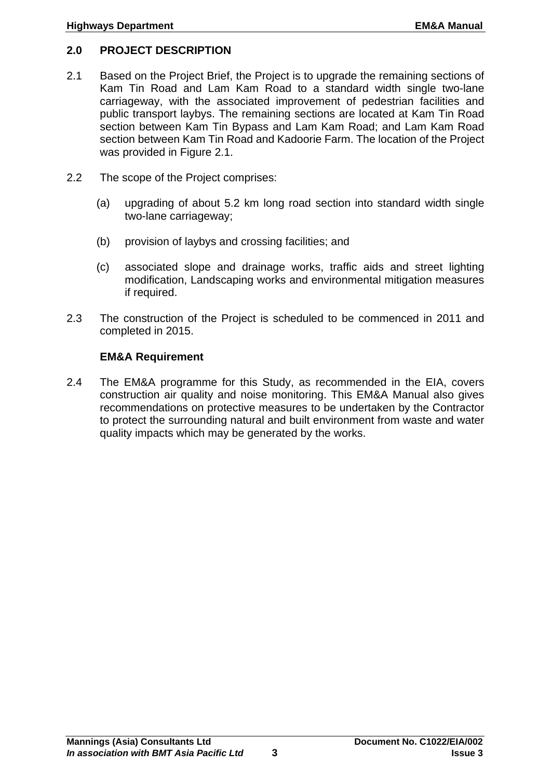## <span id="page-6-0"></span>**2.0 PROJECT DESCRIPTION**

- 2.1 Based on the Project Brief, the Project is to upgrade the remaining sections of Kam Tin Road and Lam Kam Road to a standard width single two-lane carriageway, with the associated improvement of pedestrian facilities and public transport laybys. The remaining sections are located at Kam Tin Road section between Kam Tin Bypass and Lam Kam Road; and Lam Kam Road section between Kam Tin Road and Kadoorie Farm. The location of the Project was provided in Figure 2.1.
- 2.2 The scope of the Project comprises:
	- (a) upgrading of about 5.2 km long road section into standard width single two-lane carriageway;
	- (b) provision of laybys and crossing facilities; and
	- (c) associated slope and drainage works, traffic aids and street lighting modification, Landscaping works and environmental mitigation measures if required.
- 2.3 The construction of the Project is scheduled to be commenced in 2011 and completed in 2015.

#### **EM&A Requirement**

2.4 The EM&A programme for this Study, as recommended in the EIA, covers construction air quality and noise monitoring. This EM&A Manual also gives recommendations on protective measures to be undertaken by the Contractor to protect the surrounding natural and built environment from waste and water quality impacts which may be generated by the works.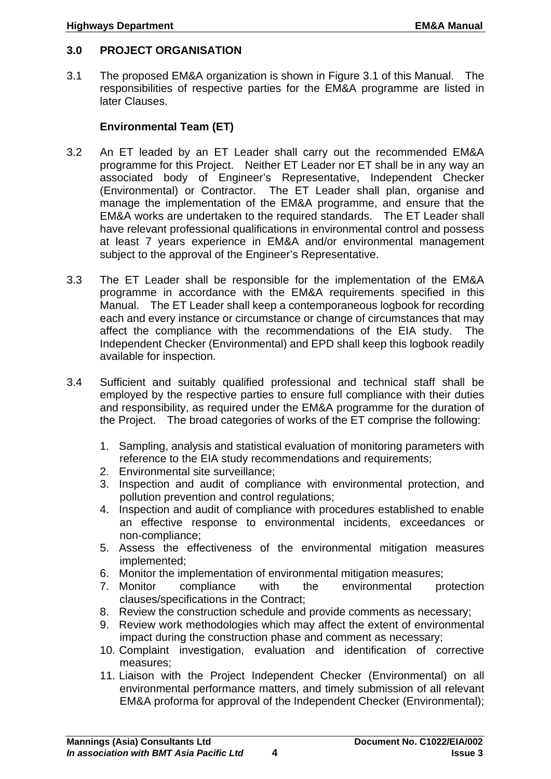#### <span id="page-7-0"></span>**3.0 PROJECT ORGANISATION**

3.1 The proposed EM&A organization is shown in Figure 3.1 of this Manual. The responsibilities of respective parties for the EM&A programme are listed in later Clauses.

#### **Environmental Team (ET)**

- 3.2 An ET leaded by an ET Leader shall carry out the recommended EM&A programme for this Project. Neither ET Leader nor ET shall be in any way an associated body of Engineer's Representative, Independent Checker (Environmental) or Contractor. The ET Leader shall plan, organise and manage the implementation of the EM&A programme, and ensure that the EM&A works are undertaken to the required standards. The ET Leader shall have relevant professional qualifications in environmental control and possess at least 7 years experience in EM&A and/or environmental management subject to the approval of the Engineer's Representative.
- 3.3 The ET Leader shall be responsible for the implementation of the EM&A programme in accordance with the EM&A requirements specified in this Manual. The ET Leader shall keep a contemporaneous logbook for recording each and every instance or circumstance or change of circumstances that may affect the compliance with the recommendations of the EIA study. The Independent Checker (Environmental) and EPD shall keep this logbook readily available for inspection.
- 3.4 Sufficient and suitably qualified professional and technical staff shall be employed by the respective parties to ensure full compliance with their duties and responsibility, as required under the EM&A programme for the duration of the Project. The broad categories of works of the ET comprise the following:
	- 1. Sampling, analysis and statistical evaluation of monitoring parameters with reference to the EIA study recommendations and requirements;
	- 2. Environmental site surveillance;
	- 3. Inspection and audit of compliance with environmental protection, and pollution prevention and control regulations;
	- 4. Inspection and audit of compliance with procedures established to enable an effective response to environmental incidents, exceedances or non-compliance;
	- 5. Assess the effectiveness of the environmental mitigation measures implemented;
	- 6. Monitor the implementation of environmental mitigation measures;
	- 7. Monitor compliance with the environmental protection clauses/specifications in the Contract;
	- 8. Review the construction schedule and provide comments as necessary;
	- 9. Review work methodologies which may affect the extent of environmental impact during the construction phase and comment as necessary;
	- 10. Complaint investigation, evaluation and identification of corrective measures;
	- 11. Liaison with the Project Independent Checker (Environmental) on all environmental performance matters, and timely submission of all relevant EM&A proforma for approval of the Independent Checker (Environmental);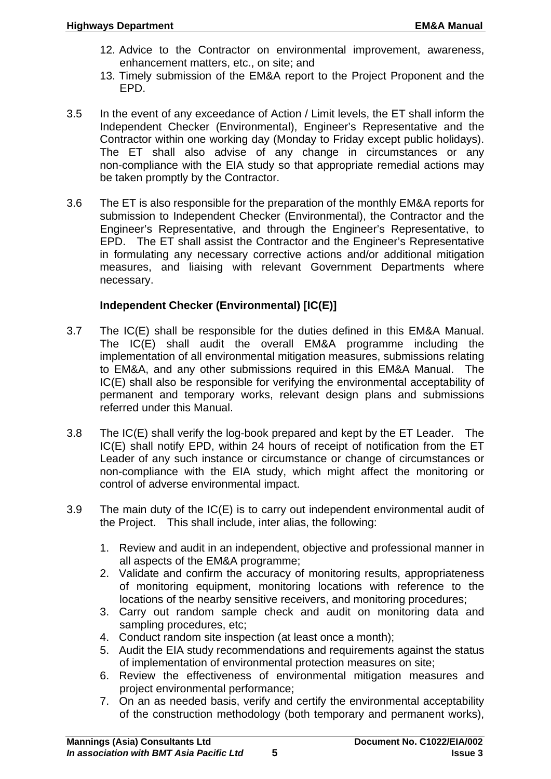- 12. Advice to the Contractor on environmental improvement, awareness, enhancement matters, etc., on site; and
- 13. Timely submission of the EM&A report to the Project Proponent and the EPD.
- 3.5 In the event of any exceedance of Action / Limit levels, the ET shall inform the Independent Checker (Environmental), Engineer's Representative and the Contractor within one working day (Monday to Friday except public holidays). The ET shall also advise of any change in circumstances or any non-compliance with the EIA study so that appropriate remedial actions may be taken promptly by the Contractor.
- 3.6 The ET is also responsible for the preparation of the monthly EM&A reports for submission to Independent Checker (Environmental), the Contractor and the Engineer's Representative, and through the Engineer's Representative, to EPD. The ET shall assist the Contractor and the Engineer's Representative in formulating any necessary corrective actions and/or additional mitigation measures, and liaising with relevant Government Departments where necessary.

## **Independent Checker (Environmental) [IC(E)]**

- 3.7 The IC(E) shall be responsible for the duties defined in this EM&A Manual. The IC(E) shall audit the overall EM&A programme including the implementation of all environmental mitigation measures, submissions relating to EM&A, and any other submissions required in this EM&A Manual. The IC(E) shall also be responsible for verifying the environmental acceptability of permanent and temporary works, relevant design plans and submissions referred under this Manual.
- 3.8 The IC(E) shall verify the log-book prepared and kept by the ET Leader. The IC(E) shall notify EPD, within 24 hours of receipt of notification from the ET Leader of any such instance or circumstance or change of circumstances or non-compliance with the EIA study, which might affect the monitoring or control of adverse environmental impact.
- 3.9 The main duty of the IC(E) is to carry out independent environmental audit of the Project. This shall include, inter alias, the following:
	- 1. Review and audit in an independent, objective and professional manner in all aspects of the EM&A programme;
	- 2. Validate and confirm the accuracy of monitoring results, appropriateness of monitoring equipment, monitoring locations with reference to the locations of the nearby sensitive receivers, and monitoring procedures;
	- 3. Carry out random sample check and audit on monitoring data and sampling procedures, etc;
	- 4. Conduct random site inspection (at least once a month);
	- 5. Audit the EIA study recommendations and requirements against the status of implementation of environmental protection measures on site;
	- 6. Review the effectiveness of environmental mitigation measures and project environmental performance;
	- 7. On an as needed basis, verify and certify the environmental acceptability of the construction methodology (both temporary and permanent works),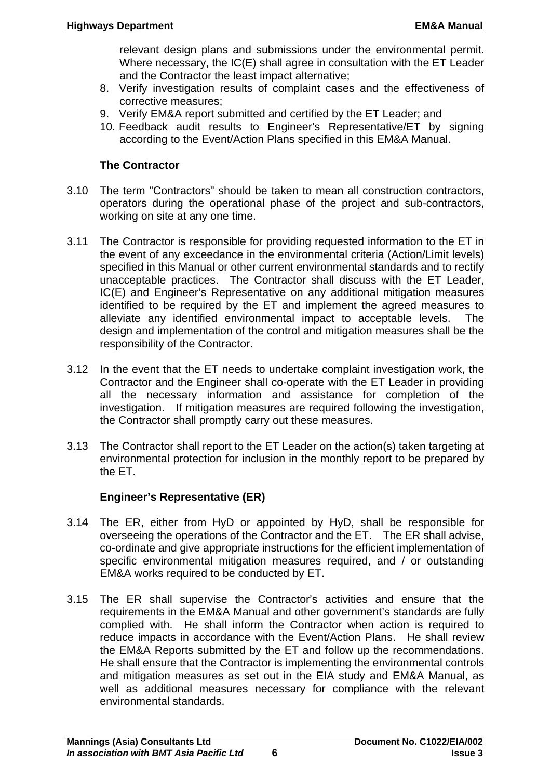relevant design plans and submissions under the environmental permit. Where necessary, the IC(E) shall agree in consultation with the ET Leader and the Contractor the least impact alternative;

- 8. Verify investigation results of complaint cases and the effectiveness of corrective measures;
- 9. Verify EM&A report submitted and certified by the ET Leader; and
- 10. Feedback audit results to Engineer's Representative/ET by signing according to the Event/Action Plans specified in this EM&A Manual.

#### **The Contractor**

- 3.10 The term "Contractors" should be taken to mean all construction contractors, operators during the operational phase of the project and sub-contractors, working on site at any one time.
- 3.11 The Contractor is responsible for providing requested information to the ET in the event of any exceedance in the environmental criteria (Action/Limit levels) specified in this Manual or other current environmental standards and to rectify unacceptable practices. The Contractor shall discuss with the ET Leader, IC(E) and Engineer's Representative on any additional mitigation measures identified to be required by the ET and implement the agreed measures to alleviate any identified environmental impact to acceptable levels. The design and implementation of the control and mitigation measures shall be the responsibility of the Contractor.
- 3.12 In the event that the ET needs to undertake complaint investigation work, the Contractor and the Engineer shall co-operate with the ET Leader in providing all the necessary information and assistance for completion of the investigation. If mitigation measures are required following the investigation, the Contractor shall promptly carry out these measures.
- 3.13 The Contractor shall report to the ET Leader on the action(s) taken targeting at environmental protection for inclusion in the monthly report to be prepared by the ET.

# **Engineer's Representative (ER)**

- 3.14 The ER, either from HyD or appointed by HyD, shall be responsible for overseeing the operations of the Contractor and the ET. The ER shall advise, co-ordinate and give appropriate instructions for the efficient implementation of specific environmental mitigation measures required, and / or outstanding EM&A works required to be conducted by ET.
- 3.15 The ER shall supervise the Contractor's activities and ensure that the requirements in the EM&A Manual and other government's standards are fully complied with. He shall inform the Contractor when action is required to reduce impacts in accordance with the Event/Action Plans. He shall review the EM&A Reports submitted by the ET and follow up the recommendations. He shall ensure that the Contractor is implementing the environmental controls and mitigation measures as set out in the EIA study and EM&A Manual, as well as additional measures necessary for compliance with the relevant environmental standards.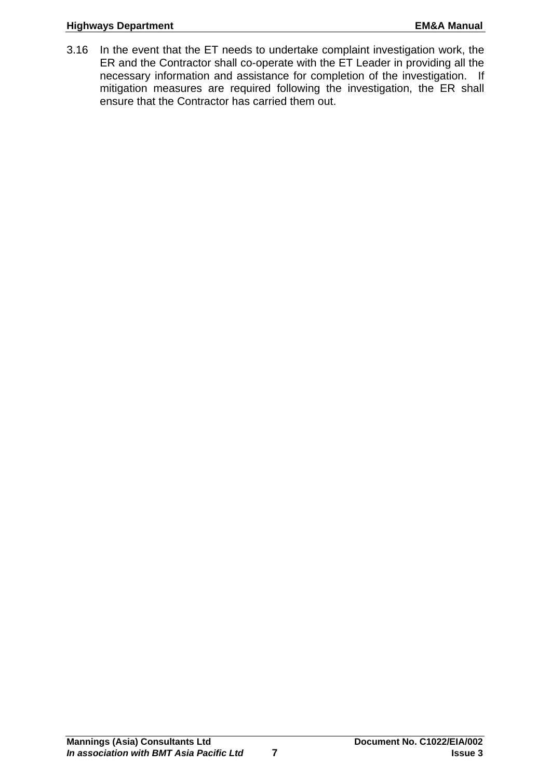#### **Highways Department Community Community Community Community Community Community Community Community Community** Community Community Community Community Community Community Community Community Community Community Community

3.16 In the event that the ET needs to undertake complaint investigation work, the ER and the Contractor shall co-operate with the ET Leader in providing all the necessary information and assistance for completion of the investigation. If mitigation measures are required following the investigation, the ER shall ensure that the Contractor has carried them out.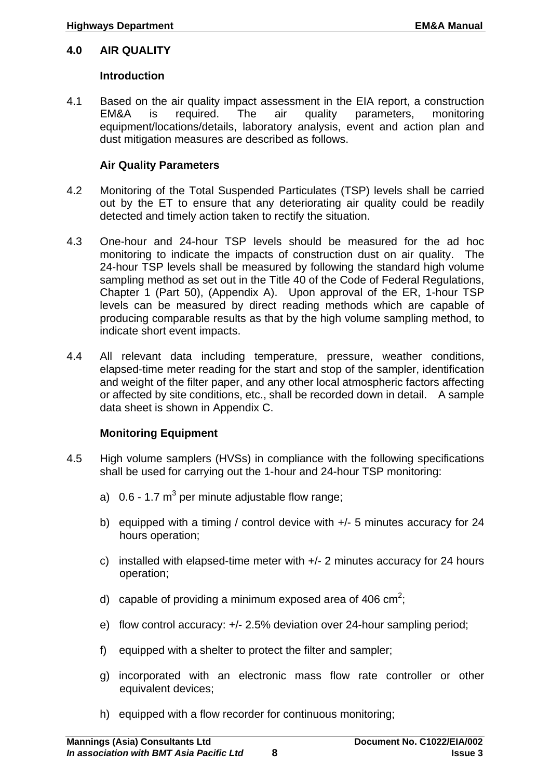## <span id="page-11-0"></span>**4.0 AIR QUALITY**

#### **Introduction**

4.1 Based on the air quality impact assessment in the EIA report, a construction EM&A is required. The air quality parameters, monitoring equipment/locations/details, laboratory analysis, event and action plan and dust mitigation measures are described as follows.

#### **Air Quality Parameters**

- 4.2 Monitoring of the Total Suspended Particulates (TSP) levels shall be carried out by the ET to ensure that any deteriorating air quality could be readily detected and timely action taken to rectify the situation.
- 4.3 One-hour and 24-hour TSP levels should be measured for the ad hoc monitoring to indicate the impacts of construction dust on air quality. The 24-hour TSP levels shall be measured by following the standard high volume sampling method as set out in the Title 40 of the Code of Federal Regulations, Chapter 1 (Part 50), (Appendix A). Upon approval of the ER, 1-hour TSP levels can be measured by direct reading methods which are capable of producing comparable results as that by the high volume sampling method, to indicate short event impacts.
- 4.4 All relevant data including temperature, pressure, weather conditions, elapsed-time meter reading for the start and stop of the sampler, identification and weight of the filter paper, and any other local atmospheric factors affecting or affected by site conditions, etc., shall be recorded down in detail. A sample data sheet is shown in Appendix C.

# **Monitoring Equipment**

- 4.5 High volume samplers (HVSs) in compliance with the following specifications shall be used for carrying out the 1-hour and 24-hour TSP monitoring:
	- a)  $0.6$  1.7 m<sup>3</sup> per minute adjustable flow range;
	- b) equipped with a timing / control device with +/- 5 minutes accuracy for 24 hours operation;
	- c) installed with elapsed-time meter with +/- 2 minutes accuracy for 24 hours operation;
	- d) capable of providing a minimum exposed area of 406 cm<sup>2</sup>;
	- e) flow control accuracy: +/- 2.5% deviation over 24-hour sampling period;
	- f) equipped with a shelter to protect the filter and sampler;
	- g) incorporated with an electronic mass flow rate controller or other equivalent devices;
	- h) equipped with a flow recorder for continuous monitoring;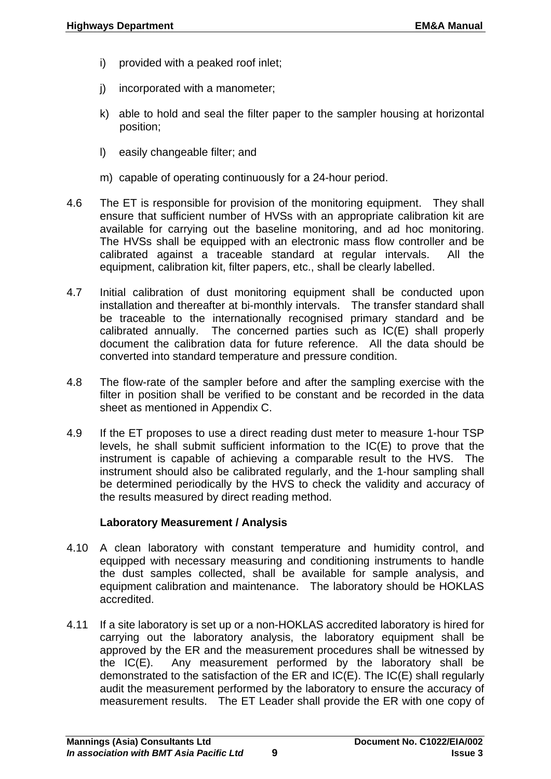- i) provided with a peaked roof inlet;
- j) incorporated with a manometer;
- k) able to hold and seal the filter paper to the sampler housing at horizontal position;
- l) easily changeable filter; and
- m) capable of operating continuously for a 24-hour period.
- 4.6 The ET is responsible for provision of the monitoring equipment. They shall ensure that sufficient number of HVSs with an appropriate calibration kit are available for carrying out the baseline monitoring, and ad hoc monitoring. The HVSs shall be equipped with an electronic mass flow controller and be calibrated against a traceable standard at regular intervals. All the equipment, calibration kit, filter papers, etc., shall be clearly labelled.
- 4.7 Initial calibration of dust monitoring equipment shall be conducted upon installation and thereafter at bi-monthly intervals. The transfer standard shall be traceable to the internationally recognised primary standard and be calibrated annually. The concerned parties such as IC(E) shall properly document the calibration data for future reference. All the data should be converted into standard temperature and pressure condition.
- 4.8 The flow-rate of the sampler before and after the sampling exercise with the filter in position shall be verified to be constant and be recorded in the data sheet as mentioned in Appendix C.
- 4.9 If the ET proposes to use a direct reading dust meter to measure 1-hour TSP levels, he shall submit sufficient information to the IC(E) to prove that the instrument is capable of achieving a comparable result to the HVS. The instrument should also be calibrated regularly, and the 1-hour sampling shall be determined periodically by the HVS to check the validity and accuracy of the results measured by direct reading method.

#### **Laboratory Measurement / Analysis**

- 4.10 A clean laboratory with constant temperature and humidity control, and equipped with necessary measuring and conditioning instruments to handle the dust samples collected, shall be available for sample analysis, and equipment calibration and maintenance. The laboratory should be HOKLAS accredited.
- 4.11 If a site laboratory is set up or a non-HOKLAS accredited laboratory is hired for carrying out the laboratory analysis, the laboratory equipment shall be approved by the ER and the measurement procedures shall be witnessed by the IC(E). Any measurement performed by the laboratory shall be demonstrated to the satisfaction of the ER and IC(E). The IC(E) shall regularly audit the measurement performed by the laboratory to ensure the accuracy of measurement results. The ET Leader shall provide the ER with one copy of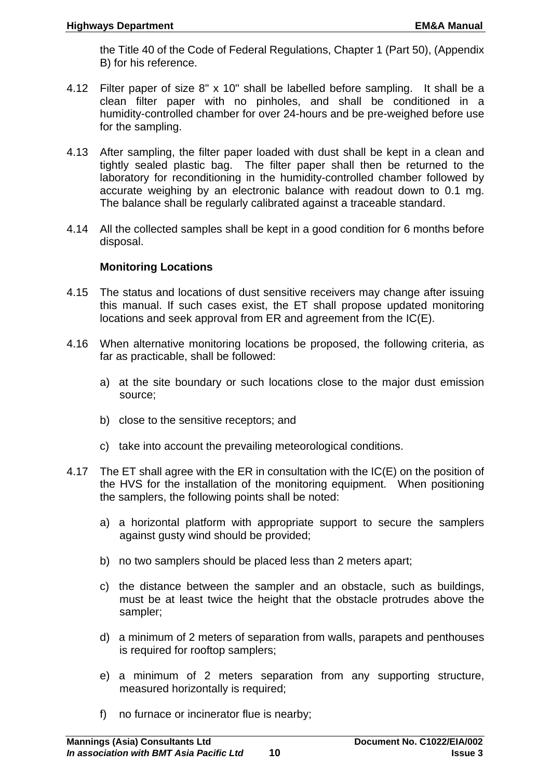the Title 40 of the Code of Federal Regulations, Chapter 1 (Part 50), (Appendix B) for his reference.

- 4.12 Filter paper of size 8" x 10" shall be labelled before sampling. It shall be a clean filter paper with no pinholes, and shall be conditioned in a humidity-controlled chamber for over 24-hours and be pre-weighed before use for the sampling.
- 4.13 After sampling, the filter paper loaded with dust shall be kept in a clean and tightly sealed plastic bag. The filter paper shall then be returned to the laboratory for reconditioning in the humidity-controlled chamber followed by accurate weighing by an electronic balance with readout down to 0.1 mg. The balance shall be regularly calibrated against a traceable standard.
- 4.14 All the collected samples shall be kept in a good condition for 6 months before disposal.

#### **Monitoring Locations**

- 4.15 The status and locations of dust sensitive receivers may change after issuing this manual. If such cases exist, the ET shall propose updated monitoring locations and seek approval from ER and agreement from the IC(E).
- 4.16 When alternative monitoring locations be proposed, the following criteria, as far as practicable, shall be followed:
	- a) at the site boundary or such locations close to the major dust emission source;
	- b) close to the sensitive receptors; and
	- c) take into account the prevailing meteorological conditions.
- 4.17 The ET shall agree with the ER in consultation with the IC(E) on the position of the HVS for the installation of the monitoring equipment. When positioning the samplers, the following points shall be noted:
	- a) a horizontal platform with appropriate support to secure the samplers against gusty wind should be provided;
	- b) no two samplers should be placed less than 2 meters apart;
	- c) the distance between the sampler and an obstacle, such as buildings, must be at least twice the height that the obstacle protrudes above the sampler;
	- d) a minimum of 2 meters of separation from walls, parapets and penthouses is required for rooftop samplers;
	- e) a minimum of 2 meters separation from any supporting structure, measured horizontally is required;
	- f) no furnace or incinerator flue is nearby;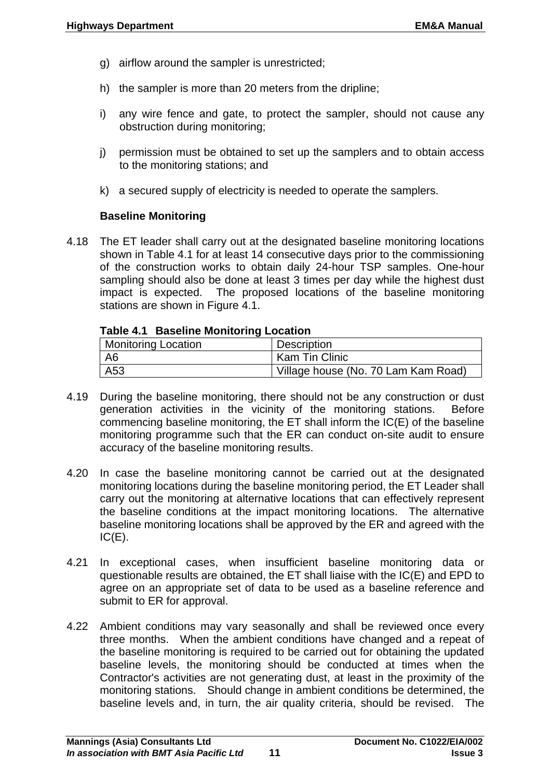- g) airflow around the sampler is unrestricted;
- h) the sampler is more than 20 meters from the dripline;
- i) any wire fence and gate, to protect the sampler, should not cause any obstruction during monitoring;
- j) permission must be obtained to set up the samplers and to obtain access to the monitoring stations; and
- k) a secured supply of electricity is needed to operate the samplers.

#### **Baseline Monitoring**

4.18 The ET leader shall carry out at the designated baseline monitoring locations shown in Table 4.1 for at least 14 consecutive days prior to the commissioning of the construction works to obtain daily 24-hour TSP samples. One-hour sampling should also be done at least 3 times per day while the highest dust impact is expected. The proposed locations of the baseline monitoring stations are shown in Figure 4.1.

#### **Table 4.1 Baseline Monitoring Location**

| <b>Monitoring Location</b> | <b>Description</b>                  |
|----------------------------|-------------------------------------|
| A6                         | Kam Tin Clinic                      |
| A53                        | Village house (No. 70 Lam Kam Road) |

- 4.19 During the baseline monitoring, there should not be any construction or dust generation activities in the vicinity of the monitoring stations. Before commencing baseline monitoring, the ET shall inform the IC(E) of the baseline monitoring programme such that the ER can conduct on-site audit to ensure accuracy of the baseline monitoring results.
- 4.20 In case the baseline monitoring cannot be carried out at the designated monitoring locations during the baseline monitoring period, the ET Leader shall carry out the monitoring at alternative locations that can effectively represent the baseline conditions at the impact monitoring locations. The alternative baseline monitoring locations shall be approved by the ER and agreed with the  $IC(E)$ .
- 4.21 In exceptional cases, when insufficient baseline monitoring data or questionable results are obtained, the ET shall liaise with the IC(E) and EPD to agree on an appropriate set of data to be used as a baseline reference and submit to ER for approval.
- 4.22 Ambient conditions may vary seasonally and shall be reviewed once every three months. When the ambient conditions have changed and a repeat of the baseline monitoring is required to be carried out for obtaining the updated baseline levels, the monitoring should be conducted at times when the Contractor's activities are not generating dust, at least in the proximity of the monitoring stations. Should change in ambient conditions be determined, the baseline levels and, in turn, the air quality criteria, should be revised. The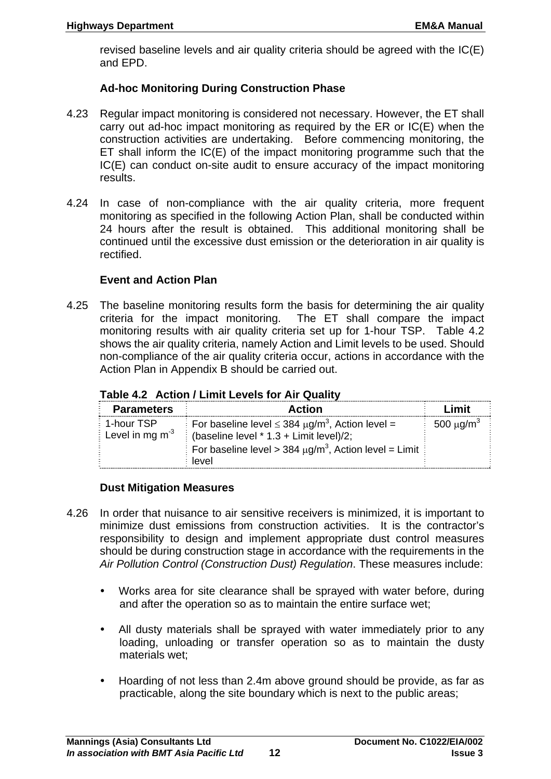revised baseline levels and air quality criteria should be agreed with the IC(E) and EPD.

# **Ad-hoc Monitoring During Construction Phase**

- 4.23 Regular impact monitoring is considered not necessary. However, the ET shall carry out ad-hoc impact monitoring as required by the ER or IC(E) when the construction activities are undertaking. Before commencing monitoring, the ET shall inform the IC(E) of the impact monitoring programme such that the IC(E) can conduct on-site audit to ensure accuracy of the impact monitoring results.
- 4.24 In case of non-compliance with the air quality criteria, more frequent monitoring as specified in the following Action Plan, shall be conducted within 24 hours after the result is obtained. This additional monitoring shall be continued until the excessive dust emission or the deterioration in air quality is rectified.

#### **Event and Action Plan**

4.25 The baseline monitoring results form the basis for determining the air quality criteria for the impact monitoring. The ET shall compare the impact monitoring results with air quality criteria set up for 1-hour TSP. Table 4.2 shows the air quality criteria, namely Action and Limit levels to be used. Should non-compliance of the air quality criteria occur, actions in accordance with the Action Plan in Appendix B should be carried out.

|  | Table 4.2 Action / Limit Levels for Air Quality |  |
|--|-------------------------------------------------|--|
|  |                                                 |  |

| <b>Parameters</b>                         | <b>Action</b>                                                          | Limit                      |
|-------------------------------------------|------------------------------------------------------------------------|----------------------------|
| <b>1-hour TSP</b>                         | For baseline level $\leq$ 384 $\mu$ g/m <sup>3</sup> , Action level =  | 500 $\mu$ g/m <sup>3</sup> |
| $\frac{1}{2}$ Level in mg m <sup>-3</sup> | (baseline level $*$ 1.3 + Limit level)/2;                              |                            |
|                                           | For baseline level > 384 $\mu$ g/m <sup>3</sup> , Action level = Limit |                            |
|                                           | level                                                                  |                            |

#### **Dust Mitigation Measures**

- 4.26 In order that nuisance to air sensitive receivers is minimized, it is important to minimize dust emissions from construction activities. It is the contractor's responsibility to design and implement appropriate dust control measures should be during construction stage in accordance with the requirements in the *Air Pollution Control (Construction Dust) Regulation*. These measures include:
	- Works area for site clearance shall be sprayed with water before, during and after the operation so as to maintain the entire surface wet;
	- All dusty materials shall be sprayed with water immediately prior to any loading, unloading or transfer operation so as to maintain the dusty materials wet;
	- Hoarding of not less than 2.4m above ground should be provide, as far as practicable, along the site boundary which is next to the public areas;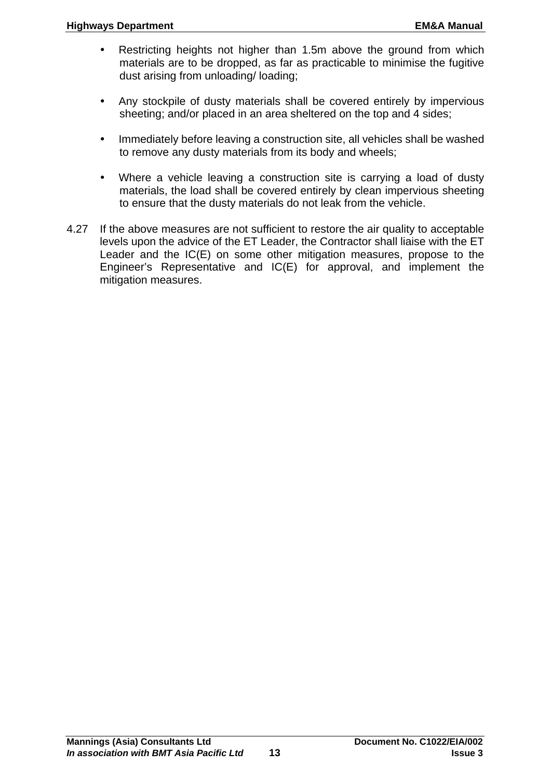- Restricting heights not higher than 1.5m above the ground from which materials are to be dropped, as far as practicable to minimise the fugitive dust arising from unloading/ loading;
- Any stockpile of dusty materials shall be covered entirely by impervious sheeting; and/or placed in an area sheltered on the top and 4 sides;
- Immediately before leaving a construction site, all vehicles shall be washed to remove any dusty materials from its body and wheels;
- Where a vehicle leaving a construction site is carrying a load of dusty materials, the load shall be covered entirely by clean impervious sheeting to ensure that the dusty materials do not leak from the vehicle.
- 4.27 If the above measures are not sufficient to restore the air quality to acceptable levels upon the advice of the ET Leader, the Contractor shall liaise with the ET Leader and the IC(E) on some other mitigation measures, propose to the Engineer's Representative and IC(E) for approval, and implement the mitigation measures.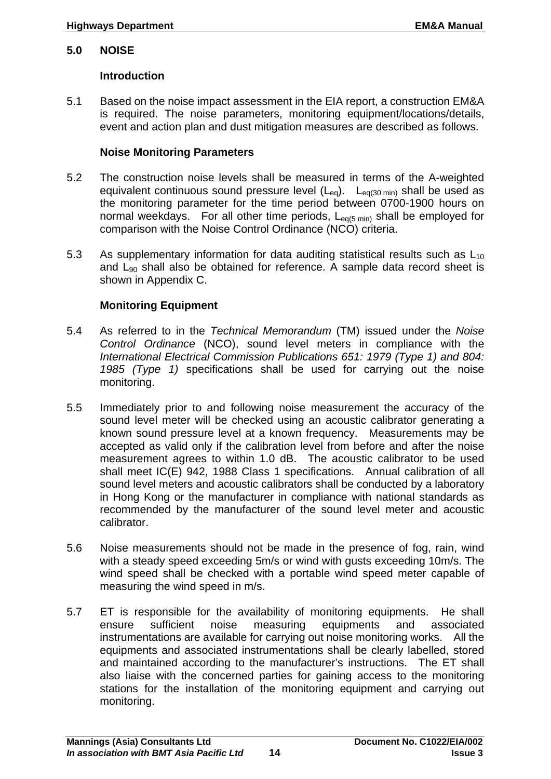#### <span id="page-17-0"></span>**5.0 NOISE**

#### **Introduction**

5.1 Based on the noise impact assessment in the EIA report, a construction EM&A is required. The noise parameters, monitoring equipment/locations/details, event and action plan and dust mitigation measures are described as follows.

#### **Noise Monitoring Parameters**

- 5.2 The construction noise levels shall be measured in terms of the A-weighted equivalent continuous sound pressure level  $(L_{eq})$ .  $L_{eq(30 \text{ min})}$  shall be used as the monitoring parameter for the time period between 0700-1900 hours on normal weekdays. For all other time periods,  $L_{eq(5 \text{ min})}$  shall be employed for comparison with the Noise Control Ordinance (NCO) criteria.
- 5.3 As supplementary information for data auditing statistical results such as  $L_{10}$ and  $L_{90}$  shall also be obtained for reference. A sample data record sheet is shown in Appendix C.

## **Monitoring Equipment**

- 5.4 As referred to in the *Technical Memorandum* (TM) issued under the *Noise Control Ordinance* (NCO), sound level meters in compliance with the *International Electrical Commission Publications 651: 1979 (Type 1) and 804: 1985 (Type 1)* specifications shall be used for carrying out the noise monitoring.
- 5.5 Immediately prior to and following noise measurement the accuracy of the sound level meter will be checked using an acoustic calibrator generating a known sound pressure level at a known frequency. Measurements may be accepted as valid only if the calibration level from before and after the noise measurement agrees to within 1.0 dB. The acoustic calibrator to be used shall meet IC(E) 942, 1988 Class 1 specifications. Annual calibration of all sound level meters and acoustic calibrators shall be conducted by a laboratory in Hong Kong or the manufacturer in compliance with national standards as recommended by the manufacturer of the sound level meter and acoustic calibrator.
- 5.6 Noise measurements should not be made in the presence of fog, rain, wind with a steady speed exceeding 5m/s or wind with gusts exceeding 10m/s. The wind speed shall be checked with a portable wind speed meter capable of measuring the wind speed in m/s.
- 5.7 ET is responsible for the availability of monitoring equipments. He shall ensure sufficient noise measuring equipments and associated instrumentations are available for carrying out noise monitoring works. All the equipments and associated instrumentations shall be clearly labelled, stored and maintained according to the manufacturer's instructions. The ET shall also liaise with the concerned parties for gaining access to the monitoring stations for the installation of the monitoring equipment and carrying out monitoring.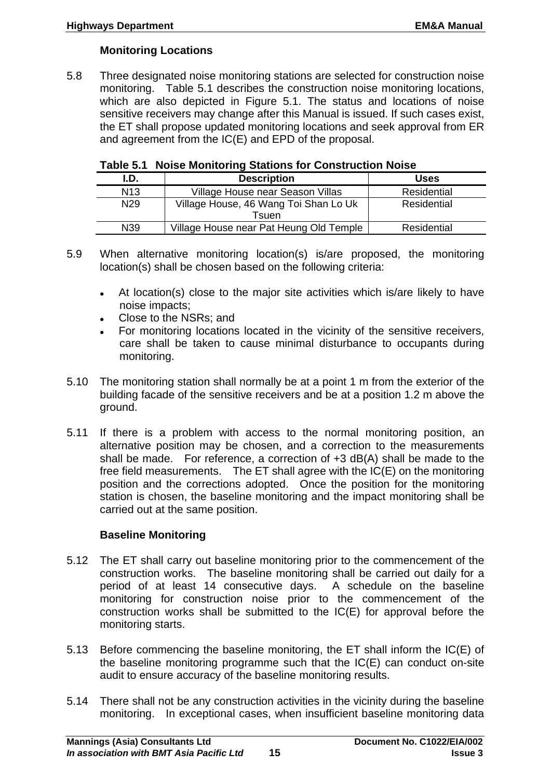#### **Monitoring Locations**

5.8 Three designated noise monitoring stations are selected for construction noise monitoring. Table 5.1 describes the construction noise monitoring locations, which are also depicted in Figure 5.1. The status and locations of noise sensitive receivers may change after this Manual is issued. If such cases exist, the ET shall propose updated monitoring locations and seek approval from ER and agreement from the IC(E) and EPD of the proposal.

|  | Table 5.1 Noise Monitoring Stations for Construction Noise |
|--|------------------------------------------------------------|
|--|------------------------------------------------------------|

| I.D.            | <b>Description</b>                      | <b>Uses</b> |
|-----------------|-----------------------------------------|-------------|
| N <sub>13</sub> | Village House near Season Villas        | Residential |
| N <sub>29</sub> | Village House, 46 Wang Toi Shan Lo Uk   | Residential |
|                 | Tsuen                                   |             |
| N39             | Village House near Pat Heung Old Temple | Residential |

<sup>5.9</sup> When alternative monitoring location(s) is/are proposed, the monitoring location(s) shall be chosen based on the following criteria:

- At location(s) close to the major site activities which is/are likely to have noise impacts;
- Close to the NSRs; and
- For monitoring locations located in the vicinity of the sensitive receivers, care shall be taken to cause minimal disturbance to occupants during monitoring.
- 5.10 The monitoring station shall normally be at a point 1 m from the exterior of the building facade of the sensitive receivers and be at a position 1.2 m above the ground.
- 5.11 If there is a problem with access to the normal monitoring position, an alternative position may be chosen, and a correction to the measurements shall be made. For reference, a correction of +3 dB(A) shall be made to the free field measurements. The ET shall agree with the IC(E) on the monitoring position and the corrections adopted. Once the position for the monitoring station is chosen, the baseline monitoring and the impact monitoring shall be carried out at the same position.

#### **Baseline Monitoring**

- 5.12 The ET shall carry out baseline monitoring prior to the commencement of the construction works. The baseline monitoring shall be carried out daily for a period of at least 14 consecutive days. A schedule on the baseline monitoring for construction noise prior to the commencement of the construction works shall be submitted to the IC(E) for approval before the monitoring starts.
- 5.13 Before commencing the baseline monitoring, the ET shall inform the IC(E) of the baseline monitoring programme such that the IC(E) can conduct on-site audit to ensure accuracy of the baseline monitoring results.
- 5.14 There shall not be any construction activities in the vicinity during the baseline monitoring. In exceptional cases, when insufficient baseline monitoring data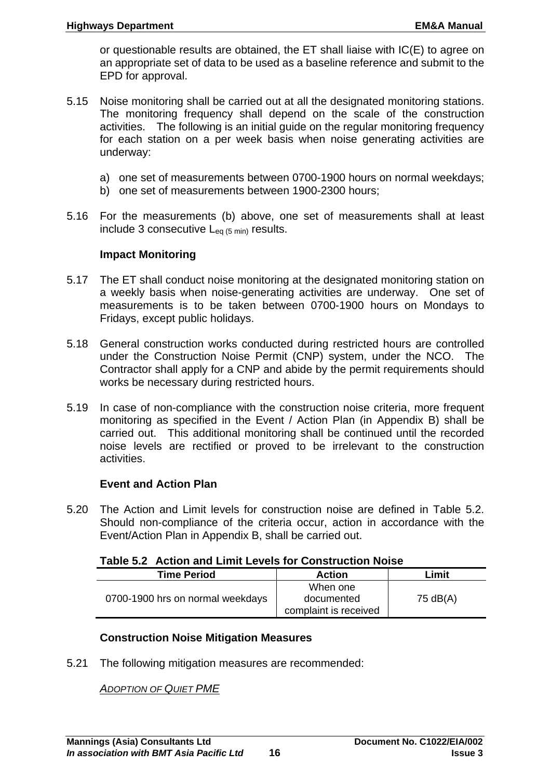or questionable results are obtained, the ET shall liaise with IC(E) to agree on an appropriate set of data to be used as a baseline reference and submit to the EPD for approval.

- 5.15 Noise monitoring shall be carried out at all the designated monitoring stations. The monitoring frequency shall depend on the scale of the construction activities. The following is an initial guide on the regular monitoring frequency for each station on a per week basis when noise generating activities are underway:
	- a) one set of measurements between 0700-1900 hours on normal weekdays;
	- b) one set of measurements between 1900-2300 hours;
- 5.16 For the measurements (b) above, one set of measurements shall at least include 3 consecutive  $L_{eq}$  (5 min) results.

#### **Impact Monitoring**

- 5.17 The ET shall conduct noise monitoring at the designated monitoring station on a weekly basis when noise-generating activities are underway. One set of measurements is to be taken between 0700-1900 hours on Mondays to Fridays, except public holidays.
- 5.18 General construction works conducted during restricted hours are controlled under the Construction Noise Permit (CNP) system, under the NCO. The Contractor shall apply for a CNP and abide by the permit requirements should works be necessary during restricted hours.
- 5.19 In case of non-compliance with the construction noise criteria, more frequent monitoring as specified in the Event / Action Plan (in Appendix B) shall be carried out. This additional monitoring shall be continued until the recorded noise levels are rectified or proved to be irrelevant to the construction activities.

#### **Event and Action Plan**

5.20 The Action and Limit levels for construction noise are defined in Table 5.2. Should non-compliance of the criteria occur, action in accordance with the Event/Action Plan in Appendix B, shall be carried out.

| <b>Time Period</b>               | <b>Action</b>         | Limit    |
|----------------------------------|-----------------------|----------|
|                                  | When one              |          |
| 0700-1900 hrs on normal weekdays | documented            | 75 dB(A) |
|                                  | complaint is received |          |

#### **Construction Noise Mitigation Measures**

5.21 The following mitigation measures are recommended:

*ADOPTION OF QUIET PME*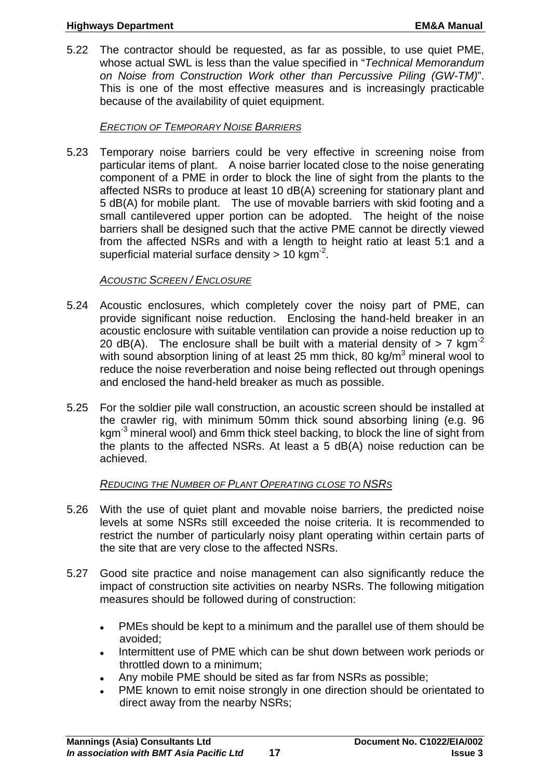5.22 The contractor should be requested, as far as possible, to use quiet PME, whose actual SWL is less than the value specified in "*Technical Memorandum on Noise from Construction Work other than Percussive Piling (GW-TM)*". This is one of the most effective measures and is increasingly practicable because of the availability of quiet equipment.

#### *ERECTION OF TEMPORARY NOISE BARRIERS*

5.23 Temporary noise barriers could be very effective in screening noise from particular items of plant. A noise barrier located close to the noise generating component of a PME in order to block the line of sight from the plants to the affected NSRs to produce at least 10 dB(A) screening for stationary plant and 5 dB(A) for mobile plant. The use of movable barriers with skid footing and a small cantilevered upper portion can be adopted. The height of the noise barriers shall be designed such that the active PME cannot be directly viewed from the affected NSRs and with a length to height ratio at least 5:1 and a superficial material surface density  $> 10$  kgm<sup>-2</sup>.

#### *ACOUSTIC SCREEN / ENCLOSURE*

- 5.24 Acoustic enclosures, which completely cover the noisy part of PME, can provide significant noise reduction. Enclosing the hand-held breaker in an acoustic enclosure with suitable ventilation can provide a noise reduction up to 20 dB(A). The enclosure shall be built with a material density of  $> 7$  kgm<sup>-2</sup> with sound absorption lining of at least 25 mm thick, 80 kg/m $3$  mineral wool to reduce the noise reverberation and noise being reflected out through openings and enclosed the hand-held breaker as much as possible.
- 5.25 For the soldier pile wall construction, an acoustic screen should be installed at the crawler rig, with minimum 50mm thick sound absorbing lining (e.g. 96 kgm-3 mineral wool) and 6mm thick steel backing, to block the line of sight from the plants to the affected NSRs. At least a 5 dB(A) noise reduction can be achieved.

#### *REDUCING THE NUMBER OF PLANT OPERATING CLOSE TO NSRS*

- 5.26 With the use of quiet plant and movable noise barriers, the predicted noise levels at some NSRs still exceeded the noise criteria. It is recommended to restrict the number of particularly noisy plant operating within certain parts of the site that are very close to the affected NSRs.
- 5.27 Good site practice and noise management can also significantly reduce the impact of construction site activities on nearby NSRs. The following mitigation measures should be followed during of construction:
	- PMEs should be kept to a minimum and the parallel use of them should be avoided;
	- Intermittent use of PME which can be shut down between work periods or throttled down to a minimum;
	- Any mobile PME should be sited as far from NSRs as possible;
	- PME known to emit noise strongly in one direction should be orientated to direct away from the nearby NSRs;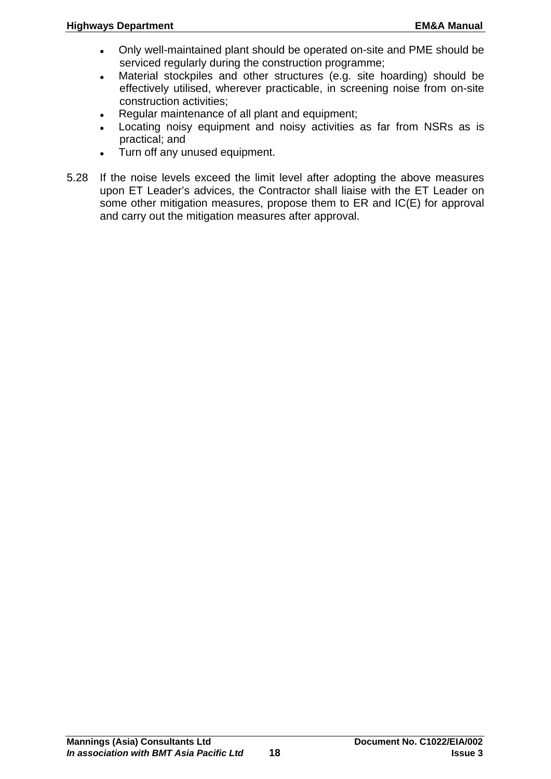- Only well-maintained plant should be operated on-site and PME should be serviced regularly during the construction programme;
- Material stockpiles and other structures (e.g. site hoarding) should be effectively utilised, wherever practicable, in screening noise from on-site construction activities;
- Regular maintenance of all plant and equipment;
- Locating noisy equipment and noisy activities as far from NSRs as is practical; and
- Turn off any unused equipment.
- 5.28 If the noise levels exceed the limit level after adopting the above measures upon ET Leader's advices, the Contractor shall liaise with the ET Leader on some other mitigation measures, propose them to ER and IC(E) for approval and carry out the mitigation measures after approval.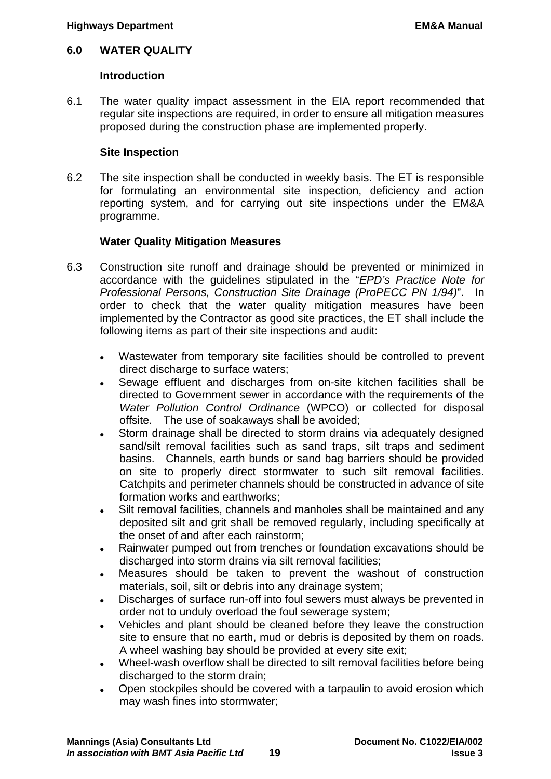#### <span id="page-22-0"></span>**6.0 WATER QUALITY**

#### **Introduction**

6.1 The water quality impact assessment in the EIA report recommended that regular site inspections are required, in order to ensure all mitigation measures proposed during the construction phase are implemented properly.

#### **Site Inspection**

6.2 The site inspection shall be conducted in weekly basis. The ET is responsible for formulating an environmental site inspection, deficiency and action reporting system, and for carrying out site inspections under the EM&A programme.

## **Water Quality Mitigation Measures**

- 6.3 Construction site runoff and drainage should be prevented or minimized in accordance with the guidelines stipulated in the "*EPD's Practice Note for Professional Persons, Construction Site Drainage (ProPECC PN 1/94)*". In order to check that the water quality mitigation measures have been implemented by the Contractor as good site practices, the ET shall include the following items as part of their site inspections and audit:
	- Wastewater from temporary site facilities should be controlled to prevent direct discharge to surface waters;
	- Sewage effluent and discharges from on-site kitchen facilities shall be directed to Government sewer in accordance with the requirements of the *Water Pollution Control Ordinance* (WPCO) or collected for disposal offsite. The use of soakaways shall be avoided;
	- Storm drainage shall be directed to storm drains via adequately designed sand/silt removal facilities such as sand traps, silt traps and sediment basins. Channels, earth bunds or sand bag barriers should be provided on site to properly direct stormwater to such silt removal facilities. Catchpits and perimeter channels should be constructed in advance of site formation works and earthworks;
	- Silt removal facilities, channels and manholes shall be maintained and any deposited silt and grit shall be removed regularly, including specifically at the onset of and after each rainstorm;
	- Rainwater pumped out from trenches or foundation excavations should be discharged into storm drains via silt removal facilities;
	- Measures should be taken to prevent the washout of construction materials, soil, silt or debris into any drainage system;
	- Discharges of surface run-off into foul sewers must always be prevented in order not to unduly overload the foul sewerage system;
	- Vehicles and plant should be cleaned before they leave the construction site to ensure that no earth, mud or debris is deposited by them on roads. A wheel washing bay should be provided at every site exit;
	- Wheel-wash overflow shall be directed to silt removal facilities before being discharged to the storm drain;
	- Open stockpiles should be covered with a tarpaulin to avoid erosion which may wash fines into stormwater;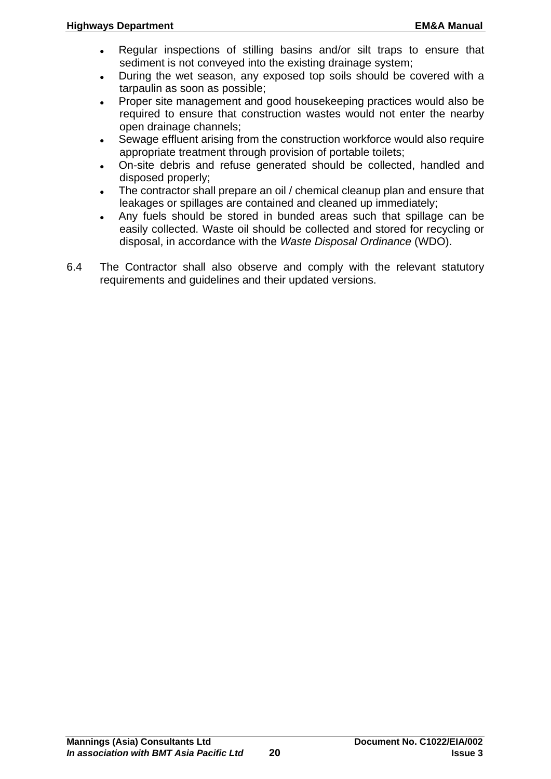- Regular inspections of stilling basins and/or silt traps to ensure that sediment is not conveyed into the existing drainage system;
- During the wet season, any exposed top soils should be covered with a tarpaulin as soon as possible;
- Proper site management and good housekeeping practices would also be required to ensure that construction wastes would not enter the nearby open drainage channels;
- Sewage effluent arising from the construction workforce would also require appropriate treatment through provision of portable toilets;
- On-site debris and refuse generated should be collected, handled and disposed properly;
- The contractor shall prepare an oil / chemical cleanup plan and ensure that leakages or spillages are contained and cleaned up immediately;
- Any fuels should be stored in bunded areas such that spillage can be easily collected. Waste oil should be collected and stored for recycling or disposal, in accordance with the *Waste Disposal Ordinance* (WDO).
- 6.4 The Contractor shall also observe and comply with the relevant statutory requirements and guidelines and their updated versions.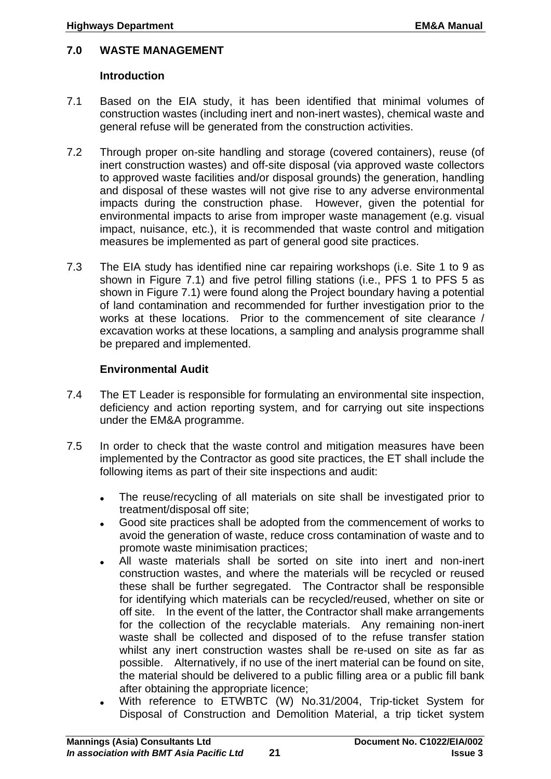## <span id="page-24-0"></span>**7.0 WASTE MANAGEMENT**

#### **Introduction**

- 7.1 Based on the EIA study, it has been identified that minimal volumes of construction wastes (including inert and non-inert wastes), chemical waste and general refuse will be generated from the construction activities.
- 7.2 Through proper on-site handling and storage (covered containers), reuse (of inert construction wastes) and off-site disposal (via approved waste collectors to approved waste facilities and/or disposal grounds) the generation, handling and disposal of these wastes will not give rise to any adverse environmental impacts during the construction phase. However, given the potential for environmental impacts to arise from improper waste management (e.g. visual impact, nuisance, etc.), it is recommended that waste control and mitigation measures be implemented as part of general good site practices.
- 7.3 The EIA study has identified nine car repairing workshops (i.e. Site 1 to 9 as shown in Figure 7.1) and five petrol filling stations (i.e., PFS 1 to PFS 5 as shown in Figure 7.1) were found along the Project boundary having a potential of land contamination and recommended for further investigation prior to the works at these locations. Prior to the commencement of site clearance / excavation works at these locations, a sampling and analysis programme shall be prepared and implemented.

#### **Environmental Audit**

- 7.4 The ET Leader is responsible for formulating an environmental site inspection, deficiency and action reporting system, and for carrying out site inspections under the EM&A programme.
- 7.5 In order to check that the waste control and mitigation measures have been implemented by the Contractor as good site practices, the ET shall include the following items as part of their site inspections and audit:
	- The reuse/recycling of all materials on site shall be investigated prior to treatment/disposal off site;
	- Good site practices shall be adopted from the commencement of works to avoid the generation of waste, reduce cross contamination of waste and to promote waste minimisation practices;
	- All waste materials shall be sorted on site into inert and non-inert construction wastes, and where the materials will be recycled or reused these shall be further segregated. The Contractor shall be responsible for identifying which materials can be recycled/reused, whether on site or off site. In the event of the latter, the Contractor shall make arrangements for the collection of the recyclable materials. Any remaining non-inert waste shall be collected and disposed of to the refuse transfer station whilst any inert construction wastes shall be re-used on site as far as possible. Alternatively, if no use of the inert material can be found on site, the material should be delivered to a public filling area or a public fill bank after obtaining the appropriate licence;
	- With reference to ETWBTC (W) No.31/2004, Trip-ticket System for Disposal of Construction and Demolition Material, a trip ticket system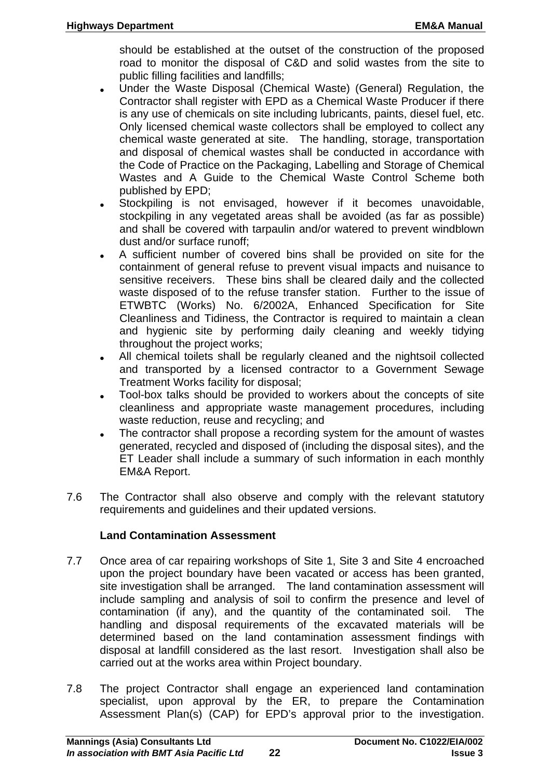should be established at the outset of the construction of the proposed road to monitor the disposal of C&D and solid wastes from the site to public filling facilities and landfills;

- Under the Waste Disposal (Chemical Waste) (General) Regulation, the Contractor shall register with EPD as a Chemical Waste Producer if there is any use of chemicals on site including lubricants, paints, diesel fuel, etc. Only licensed chemical waste collectors shall be employed to collect any chemical waste generated at site. The handling, storage, transportation and disposal of chemical wastes shall be conducted in accordance with the Code of Practice on the Packaging, Labelling and Storage of Chemical Wastes and A Guide to the Chemical Waste Control Scheme both published by EPD;
- Stockpiling is not envisaged, however if it becomes unavoidable, stockpiling in any vegetated areas shall be avoided (as far as possible) and shall be covered with tarpaulin and/or watered to prevent windblown dust and/or surface runoff;
- A sufficient number of covered bins shall be provided on site for the containment of general refuse to prevent visual impacts and nuisance to sensitive receivers. These bins shall be cleared daily and the collected waste disposed of to the refuse transfer station. Further to the issue of ETWBTC (Works) No. 6/2002A, Enhanced Specification for Site Cleanliness and Tidiness, the Contractor is required to maintain a clean and hygienic site by performing daily cleaning and weekly tidying throughout the project works;
- All chemical toilets shall be regularly cleaned and the nightsoil collected and transported by a licensed contractor to a Government Sewage Treatment Works facility for disposal;
- Tool-box talks should be provided to workers about the concepts of site cleanliness and appropriate waste management procedures, including waste reduction, reuse and recycling; and
- The contractor shall propose a recording system for the amount of wastes generated, recycled and disposed of (including the disposal sites), and the ET Leader shall include a summary of such information in each monthly EM&A Report.
- 7.6 The Contractor shall also observe and comply with the relevant statutory requirements and guidelines and their updated versions.

#### **Land Contamination Assessment**

- 7.7 Once area of car repairing workshops of Site 1, Site 3 and Site 4 encroached upon the project boundary have been vacated or access has been granted, site investigation shall be arranged. The land contamination assessment will include sampling and analysis of soil to confirm the presence and level of contamination (if any), and the quantity of the contaminated soil. The handling and disposal requirements of the excavated materials will be determined based on the land contamination assessment findings with disposal at landfill considered as the last resort. Investigation shall also be carried out at the works area within Project boundary.
- 7.8 The project Contractor shall engage an experienced land contamination specialist, upon approval by the ER, to prepare the Contamination Assessment Plan(s) (CAP) for EPD's approval prior to the investigation.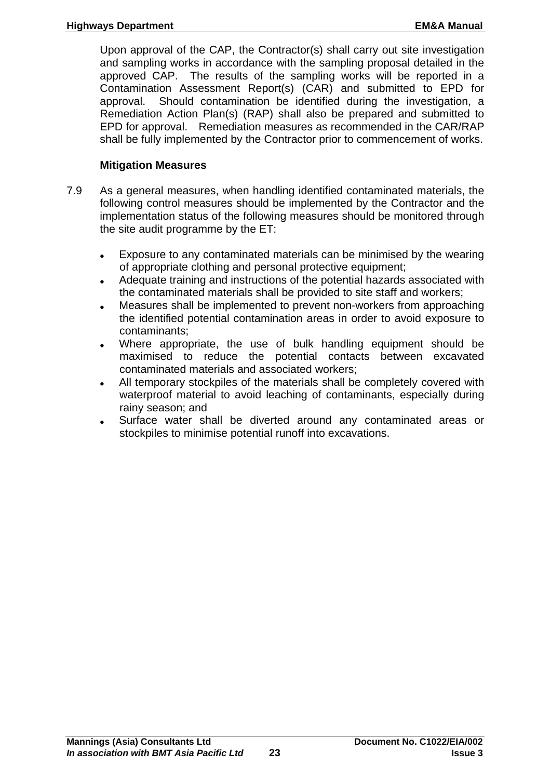Upon approval of the CAP, the Contractor(s) shall carry out site investigation and sampling works in accordance with the sampling proposal detailed in the approved CAP. The results of the sampling works will be reported in a Contamination Assessment Report(s) (CAR) and submitted to EPD for approval. Should contamination be identified during the investigation, a Remediation Action Plan(s) (RAP) shall also be prepared and submitted to EPD for approval. Remediation measures as recommended in the CAR/RAP shall be fully implemented by the Contractor prior to commencement of works.

#### **Mitigation Measures**

- 7.9 As a general measures, when handling identified contaminated materials, the following control measures should be implemented by the Contractor and the implementation status of the following measures should be monitored through the site audit programme by the ET:
	- Exposure to any contaminated materials can be minimised by the wearing of appropriate clothing and personal protective equipment;
	- Adequate training and instructions of the potential hazards associated with the contaminated materials shall be provided to site staff and workers;
	- Measures shall be implemented to prevent non-workers from approaching the identified potential contamination areas in order to avoid exposure to contaminants;
	- Where appropriate, the use of bulk handling equipment should be maximised to reduce the potential contacts between excavated contaminated materials and associated workers;
	- All temporary stockpiles of the materials shall be completely covered with waterproof material to avoid leaching of contaminants, especially during rainy season; and
	- Surface water shall be diverted around any contaminated areas or stockpiles to minimise potential runoff into excavations.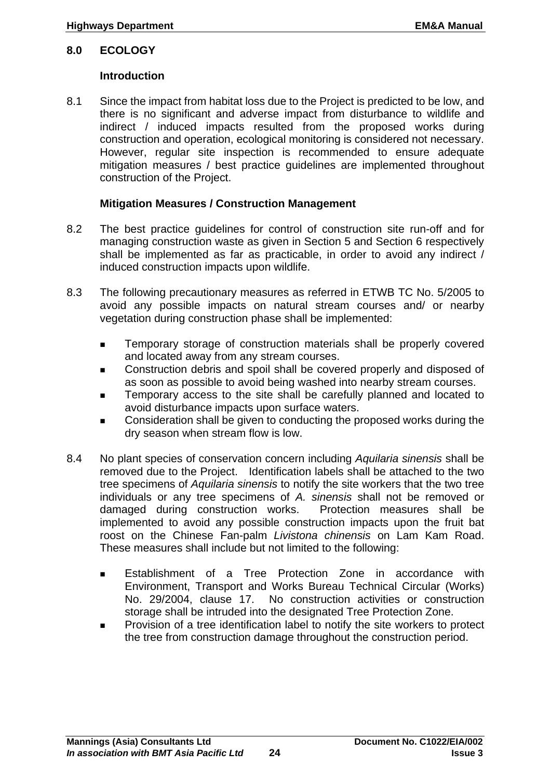#### <span id="page-27-0"></span>**8.0 ECOLOGY**

#### **Introduction**

8.1 Since the impact from habitat loss due to the Project is predicted to be low, and there is no significant and adverse impact from disturbance to wildlife and indirect / induced impacts resulted from the proposed works during construction and operation, ecological monitoring is considered not necessary. However, regular site inspection is recommended to ensure adequate mitigation measures / best practice guidelines are implemented throughout construction of the Project.

#### **Mitigation Measures / Construction Management**

- 8.2 The best practice guidelines for control of construction site run-off and for managing construction waste as given in Section 5 and Section 6 respectively shall be implemented as far as practicable, in order to avoid any indirect / induced construction impacts upon wildlife.
- 8.3 The following precautionary measures as referred in ETWB TC No. 5/2005 to avoid any possible impacts on natural stream courses and/ or nearby vegetation during construction phase shall be implemented:
	- Temporary storage of construction materials shall be properly covered and located away from any stream courses.
	- Construction debris and spoil shall be covered properly and disposed of as soon as possible to avoid being washed into nearby stream courses.
	- Temporary access to the site shall be carefully planned and located to avoid disturbance impacts upon surface waters.
	- Consideration shall be given to conducting the proposed works during the dry season when stream flow is low.
- 8.4 No plant species of conservation concern including *Aquilaria sinensis* shall be removed due to the Project. Identification labels shall be attached to the two tree specimens of *Aquilaria sinensis* to notify the site workers that the two tree individuals or any tree specimens of *A. sinensis* shall not be removed or damaged during construction works. Protection measures shall be implemented to avoid any possible construction impacts upon the fruit bat roost on the Chinese Fan-palm *Livistona chinensis* on Lam Kam Road. These measures shall include but not limited to the following:
	- Establishment of a Tree Protection Zone in accordance with Environment, Transport and Works Bureau Technical Circular (Works) No. 29/2004, clause 17. No construction activities or construction storage shall be intruded into the designated Tree Protection Zone.
	- Provision of a tree identification label to notify the site workers to protect the tree from construction damage throughout the construction period.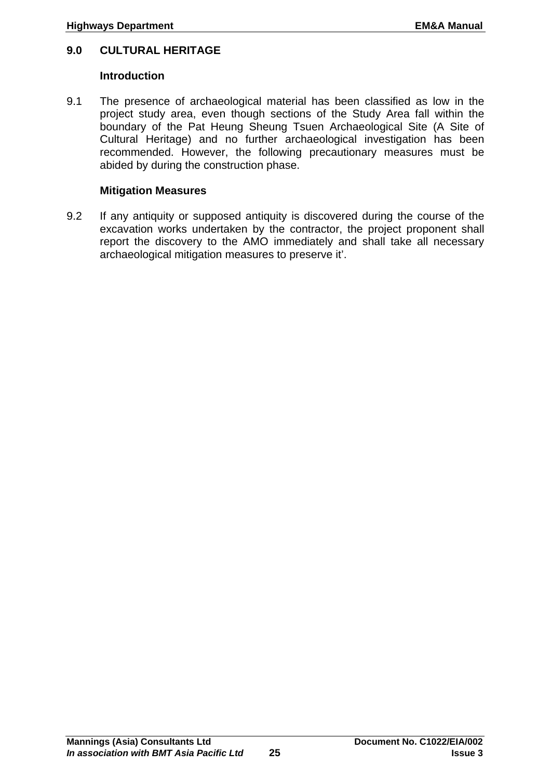#### <span id="page-28-0"></span>**9.0 CULTURAL HERITAGE**

#### **Introduction**

9.1 The presence of archaeological material has been classified as low in the project study area, even though sections of the Study Area fall within the boundary of the Pat Heung Sheung Tsuen Archaeological Site (A Site of Cultural Heritage) and no further archaeological investigation has been recommended. However, the following precautionary measures must be abided by during the construction phase.

#### **Mitigation Measures**

9.2 If any antiquity or supposed antiquity is discovered during the course of the excavation works undertaken by the contractor, the project proponent shall report the discovery to the AMO immediately and shall take all necessary archaeological mitigation measures to preserve it'.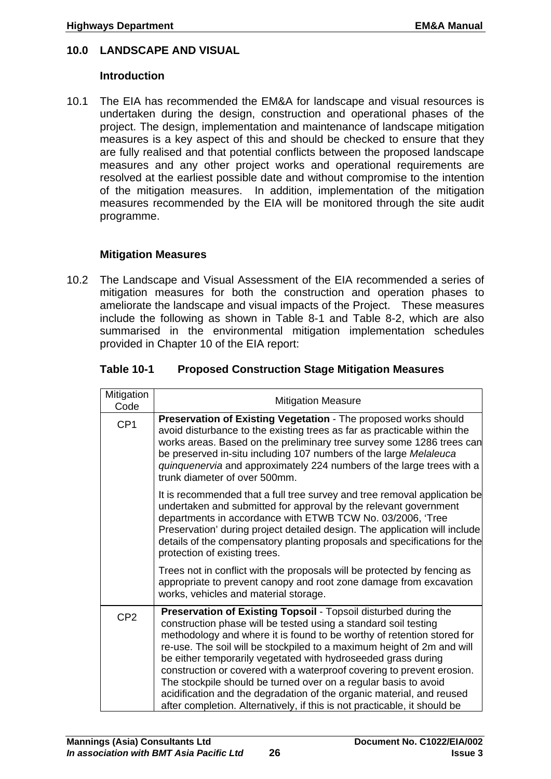#### <span id="page-29-0"></span>**10.0 LANDSCAPE AND VISUAL**

#### **Introduction**

10.1 The EIA has recommended the EM&A for landscape and visual resources is undertaken during the design, construction and operational phases of the project. The design, implementation and maintenance of landscape mitigation measures is a key aspect of this and should be checked to ensure that they are fully realised and that potential conflicts between the proposed landscape measures and any other project works and operational requirements are resolved at the earliest possible date and without compromise to the intention of the mitigation measures. In addition, implementation of the mitigation measures recommended by the EIA will be monitored through the site audit programme.

#### **Mitigation Measures**

10.2 The Landscape and Visual Assessment of the EIA recommended a series of mitigation measures for both the construction and operation phases to ameliorate the landscape and visual impacts of the Project. These measures include the following as shown in Table 8-1 and Table 8-2, which are also summarised in the environmental mitigation implementation schedules provided in Chapter 10 of the EIA report:

| Table 10-1 | <b>Proposed Construction Stage Mitigation Measures</b> |
|------------|--------------------------------------------------------|
|------------|--------------------------------------------------------|

| Mitigation<br>Code | <b>Mitigation Measure</b>                                                                                                                                                                                                                                                                                                                                                                                                                                                                                                                                                                                                                                  |
|--------------------|------------------------------------------------------------------------------------------------------------------------------------------------------------------------------------------------------------------------------------------------------------------------------------------------------------------------------------------------------------------------------------------------------------------------------------------------------------------------------------------------------------------------------------------------------------------------------------------------------------------------------------------------------------|
| CP <sub>1</sub>    | Preservation of Existing Vegetation - The proposed works should<br>avoid disturbance to the existing trees as far as practicable within the<br>works areas. Based on the preliminary tree survey some 1286 trees can<br>be preserved in-situ including 107 numbers of the large Melaleuca<br>quinquenervia and approximately 224 numbers of the large trees with a<br>trunk diameter of over 500mm.                                                                                                                                                                                                                                                        |
|                    | It is recommended that a full tree survey and tree removal application be<br>undertaken and submitted for approval by the relevant government<br>departments in accordance with ETWB TCW No. 03/2006, 'Tree<br>Preservation' during project detailed design. The application will include<br>details of the compensatory planting proposals and specifications for the<br>protection of existing trees.                                                                                                                                                                                                                                                    |
|                    | Trees not in conflict with the proposals will be protected by fencing as<br>appropriate to prevent canopy and root zone damage from excavation<br>works, vehicles and material storage.                                                                                                                                                                                                                                                                                                                                                                                                                                                                    |
| CP <sub>2</sub>    | Preservation of Existing Topsoil - Topsoil disturbed during the<br>construction phase will be tested using a standard soil testing<br>methodology and where it is found to be worthy of retention stored for<br>re-use. The soil will be stockpiled to a maximum height of 2m and will<br>be either temporarily vegetated with hydroseeded grass during<br>construction or covered with a waterproof covering to prevent erosion.<br>The stockpile should be turned over on a regular basis to avoid<br>acidification and the degradation of the organic material, and reused<br>after completion. Alternatively, if this is not practicable, it should be |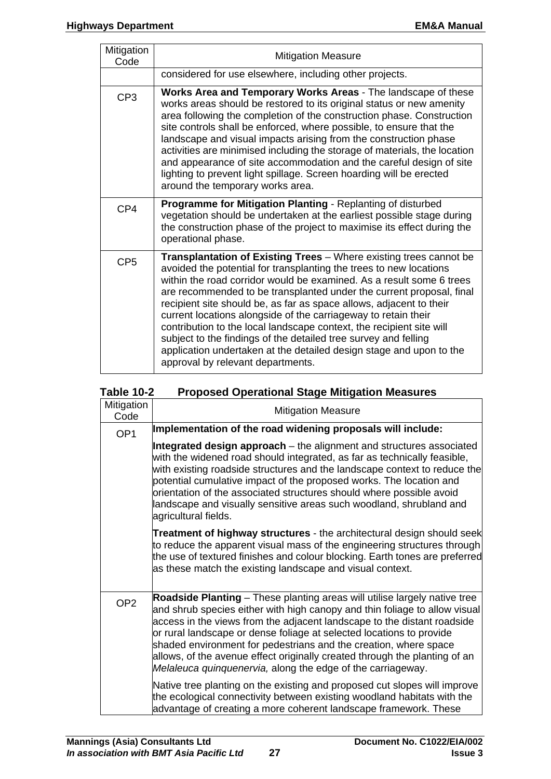| Mitigation<br>Code | <b>Mitigation Measure</b>                                                                                                                                                                                                                                                                                                                                                                                                                                                                                                                                                                                                                                                                |
|--------------------|------------------------------------------------------------------------------------------------------------------------------------------------------------------------------------------------------------------------------------------------------------------------------------------------------------------------------------------------------------------------------------------------------------------------------------------------------------------------------------------------------------------------------------------------------------------------------------------------------------------------------------------------------------------------------------------|
|                    | considered for use elsewhere, including other projects.                                                                                                                                                                                                                                                                                                                                                                                                                                                                                                                                                                                                                                  |
| CP <sub>3</sub>    | Works Area and Temporary Works Areas - The landscape of these<br>works areas should be restored to its original status or new amenity<br>area following the completion of the construction phase. Construction<br>site controls shall be enforced, where possible, to ensure that the<br>landscape and visual impacts arising from the construction phase<br>activities are minimised including the storage of materials, the location<br>and appearance of site accommodation and the careful design of site<br>lighting to prevent light spillage. Screen hoarding will be erected<br>around the temporary works area.                                                                 |
| CP4                | Programme for Mitigation Planting - Replanting of disturbed<br>vegetation should be undertaken at the earliest possible stage during<br>the construction phase of the project to maximise its effect during the<br>operational phase.                                                                                                                                                                                                                                                                                                                                                                                                                                                    |
| CP <sub>5</sub>    | Transplantation of Existing Trees - Where existing trees cannot be<br>avoided the potential for transplanting the trees to new locations<br>within the road corridor would be examined. As a result some 6 trees<br>are recommended to be transplanted under the current proposal, final<br>recipient site should be, as far as space allows, adjacent to their<br>current locations alongside of the carriageway to retain their<br>contribution to the local landscape context, the recipient site will<br>subject to the findings of the detailed tree survey and felling<br>application undertaken at the detailed design stage and upon to the<br>approval by relevant departments. |

| Mitigation<br>Code | <b>Mitigation Measure</b>                                                                                                                                                                                                                                                                                                                                                                                                                                                                                                   |
|--------------------|-----------------------------------------------------------------------------------------------------------------------------------------------------------------------------------------------------------------------------------------------------------------------------------------------------------------------------------------------------------------------------------------------------------------------------------------------------------------------------------------------------------------------------|
| OP <sub>1</sub>    | Implementation of the road widening proposals will include:                                                                                                                                                                                                                                                                                                                                                                                                                                                                 |
|                    | Integrated design approach – the alignment and structures associated<br>with the widened road should integrated, as far as technically feasible,<br>with existing roadside structures and the landscape context to reduce the<br>potential cumulative impact of the proposed works. The location and<br>orientation of the associated structures should where possible avoid<br>landscape and visually sensitive areas such woodland, shrubland and<br>agricultural fields.                                                 |
|                    | <b>Treatment of highway structures - the architectural design should seek</b><br>to reduce the apparent visual mass of the engineering structures through<br>the use of textured finishes and colour blocking. Earth tones are preferred<br>as these match the existing landscape and visual context.                                                                                                                                                                                                                       |
| OP <sub>2</sub>    | Roadside Planting – These planting areas will utilise largely native tree<br>and shrub species either with high canopy and thin foliage to allow visual<br>access in the views from the adjacent landscape to the distant roadside<br>or rural landscape or dense foliage at selected locations to provide<br>shaded environment for pedestrians and the creation, where space<br>allows, of the avenue effect originally created through the planting of an<br>Melaleuca quinquenervia, along the edge of the carriageway. |
|                    | Native tree planting on the existing and proposed cut slopes will improve<br>the ecological connectivity between existing woodland habitats with the<br>advantage of creating a more coherent landscape framework. These                                                                                                                                                                                                                                                                                                    |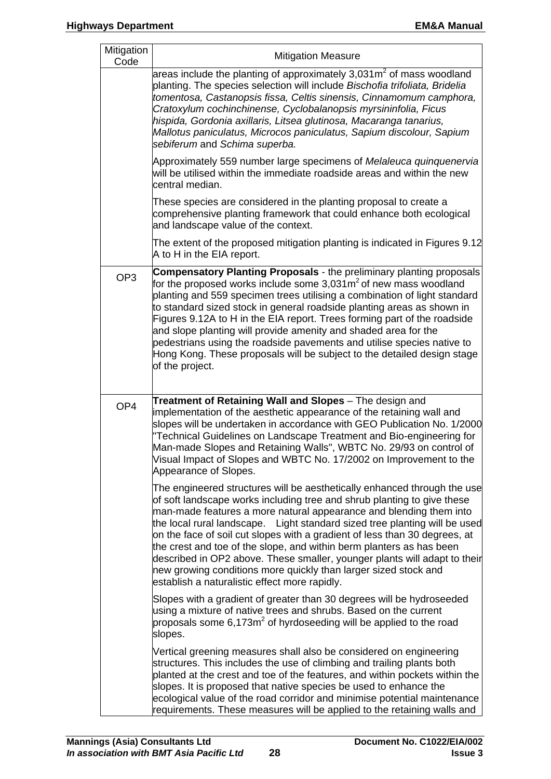| Mitigation<br>Code | <b>Mitigation Measure</b>                                                                                                                                                                                                                                                                                                                                                                                                                                                                                                                                                                                                                                      |
|--------------------|----------------------------------------------------------------------------------------------------------------------------------------------------------------------------------------------------------------------------------------------------------------------------------------------------------------------------------------------------------------------------------------------------------------------------------------------------------------------------------------------------------------------------------------------------------------------------------------------------------------------------------------------------------------|
|                    | areas include the planting of approximately 3,031 $m2$ of mass woodland<br>planting. The species selection will include Bischofia trifoliata, Bridelia<br>tomentosa, Castanopsis fissa, Celtis sinensis, Cinnamomum camphora,<br>Cratoxylum cochinchinense, Cyclobalanopsis myrsininfolia, Ficus<br>hispida, Gordonia axillaris, Litsea glutinosa, Macaranga tanarius,<br>Mallotus paniculatus, Microcos paniculatus, Sapium discolour, Sapium<br>sebiferum and Schima superba.                                                                                                                                                                                |
|                    | Approximately 559 number large specimens of Melaleuca quinquenervia<br>will be utilised within the immediate roadside areas and within the new<br>central median.                                                                                                                                                                                                                                                                                                                                                                                                                                                                                              |
|                    | These species are considered in the planting proposal to create a<br>comprehensive planting framework that could enhance both ecological<br>and landscape value of the context.                                                                                                                                                                                                                                                                                                                                                                                                                                                                                |
|                    | The extent of the proposed mitigation planting is indicated in Figures 9.12<br>A to H in the EIA report.                                                                                                                                                                                                                                                                                                                                                                                                                                                                                                                                                       |
| OP <sub>3</sub>    | <b>Compensatory Planting Proposals - the preliminary planting proposals</b><br>for the proposed works include some 3,031m <sup>2</sup> of new mass woodland<br>planting and 559 specimen trees utilising a combination of light standard<br>to standard sized stock in general roadside planting areas as shown in<br>Figures 9.12A to H in the EIA report. Trees forming part of the roadside<br>and slope planting will provide amenity and shaded area for the<br>pedestrians using the roadside pavements and utilise species native to<br>Hong Kong. These proposals will be subject to the detailed design stage<br>of the project.                      |
| OP <sub>4</sub>    | Treatment of Retaining Wall and Slopes - The design and<br>implementation of the aesthetic appearance of the retaining wall and<br>slopes will be undertaken in accordance with GEO Publication No. 1/2000<br>"Technical Guidelines on Landscape Treatment and Bio-engineering for<br>Man-made Slopes and Retaining Walls", WBTC No. 29/93 on control of<br>Visual Impact of Slopes and WBTC No. 17/2002 on Improvement to the<br>Appearance of Slopes.                                                                                                                                                                                                        |
|                    | The engineered structures will be aesthetically enhanced through the use<br>of soft landscape works including tree and shrub planting to give these<br>man-made features a more natural appearance and blending them into<br>the local rural landscape. Light standard sized tree planting will be used<br>on the face of soil cut slopes with a gradient of less than 30 degrees, at<br>the crest and toe of the slope, and within berm planters as has been<br>described in OP2 above. These smaller, younger plants will adapt to their<br>new growing conditions more quickly than larger sized stock and<br>establish a naturalistic effect more rapidly. |
|                    | Slopes with a gradient of greater than 30 degrees will be hydroseeded<br>using a mixture of native trees and shrubs. Based on the current<br>proposals some $6,173m^2$ of hyrdoseeding will be applied to the road<br>slopes.                                                                                                                                                                                                                                                                                                                                                                                                                                  |
|                    | Vertical greening measures shall also be considered on engineering<br>structures. This includes the use of climbing and trailing plants both<br>planted at the crest and toe of the features, and within pockets within the<br>slopes. It is proposed that native species be used to enhance the<br>ecological value of the road corridor and minimise potential maintenance<br>requirements. These measures will be applied to the retaining walls and                                                                                                                                                                                                        |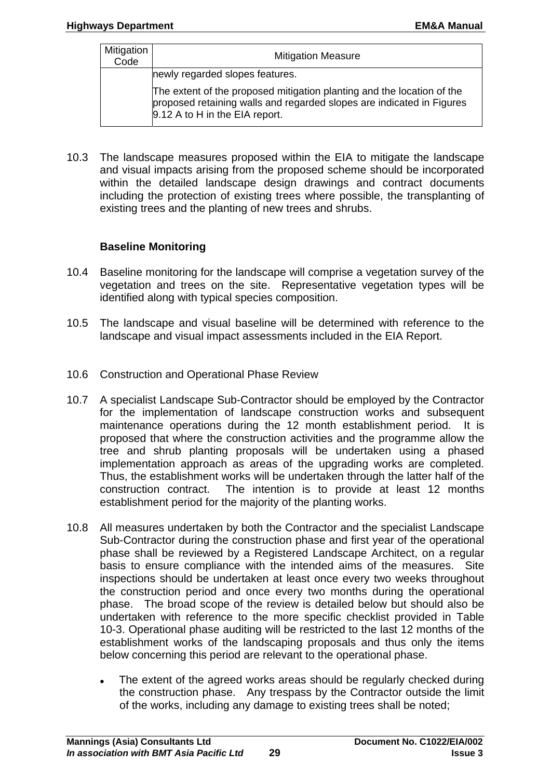| Mitigation<br>Code | <b>Mitigation Measure</b>                                                                                                                                                         |
|--------------------|-----------------------------------------------------------------------------------------------------------------------------------------------------------------------------------|
|                    | newly regarded slopes features.                                                                                                                                                   |
|                    | The extent of the proposed mitigation planting and the location of the<br>proposed retaining walls and regarded slopes are indicated in Figures<br>9.12 A to H in the EIA report. |

10.3 The landscape measures proposed within the EIA to mitigate the landscape and visual impacts arising from the proposed scheme should be incorporated within the detailed landscape design drawings and contract documents including the protection of existing trees where possible, the transplanting of existing trees and the planting of new trees and shrubs.

## **Baseline Monitoring**

- 10.4 Baseline monitoring for the landscape will comprise a vegetation survey of the vegetation and trees on the site. Representative vegetation types will be identified along with typical species composition.
- 10.5 The landscape and visual baseline will be determined with reference to the landscape and visual impact assessments included in the EIA Report.
- 10.6 Construction and Operational Phase Review
- 10.7 A specialist Landscape Sub-Contractor should be employed by the Contractor for the implementation of landscape construction works and subsequent maintenance operations during the 12 month establishment period. It is proposed that where the construction activities and the programme allow the tree and shrub planting proposals will be undertaken using a phased implementation approach as areas of the upgrading works are completed. Thus, the establishment works will be undertaken through the latter half of the construction contract. The intention is to provide at least 12 months establishment period for the majority of the planting works.
- 10.8 All measures undertaken by both the Contractor and the specialist Landscape Sub-Contractor during the construction phase and first year of the operational phase shall be reviewed by a Registered Landscape Architect, on a regular basis to ensure compliance with the intended aims of the measures. Site inspections should be undertaken at least once every two weeks throughout the construction period and once every two months during the operational phase. The broad scope of the review is detailed below but should also be undertaken with reference to the more specific checklist provided in Table 10-3. Operational phase auditing will be restricted to the last 12 months of the establishment works of the landscaping proposals and thus only the items below concerning this period are relevant to the operational phase.
	- The extent of the agreed works areas should be regularly checked during the construction phase. Any trespass by the Contractor outside the limit of the works, including any damage to existing trees shall be noted;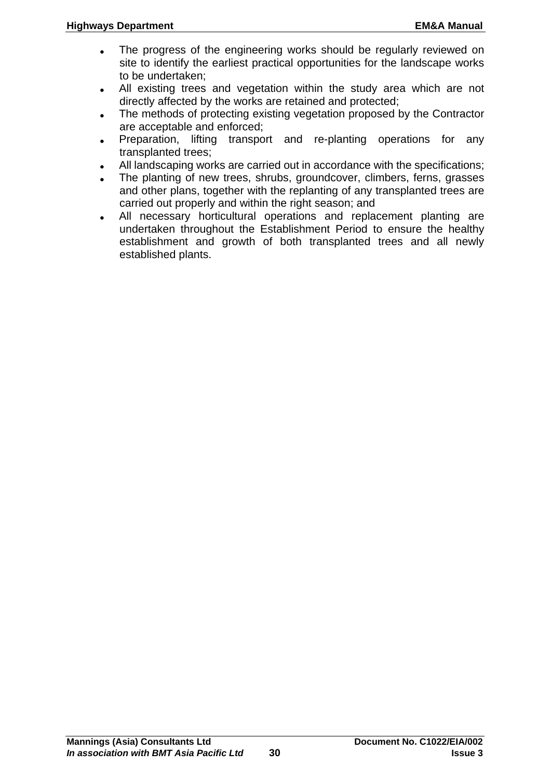- The progress of the engineering works should be regularly reviewed on site to identify the earliest practical opportunities for the landscape works to be undertaken;
- All existing trees and vegetation within the study area which are not directly affected by the works are retained and protected;
- The methods of protecting existing vegetation proposed by the Contractor are acceptable and enforced;
- Preparation, lifting transport and re-planting operations for any transplanted trees;
- All landscaping works are carried out in accordance with the specifications;
- The planting of new trees, shrubs, groundcover, climbers, ferns, grasses and other plans, together with the replanting of any transplanted trees are carried out properly and within the right season; and
- All necessary horticultural operations and replacement planting are undertaken throughout the Establishment Period to ensure the healthy establishment and growth of both transplanted trees and all newly established plants.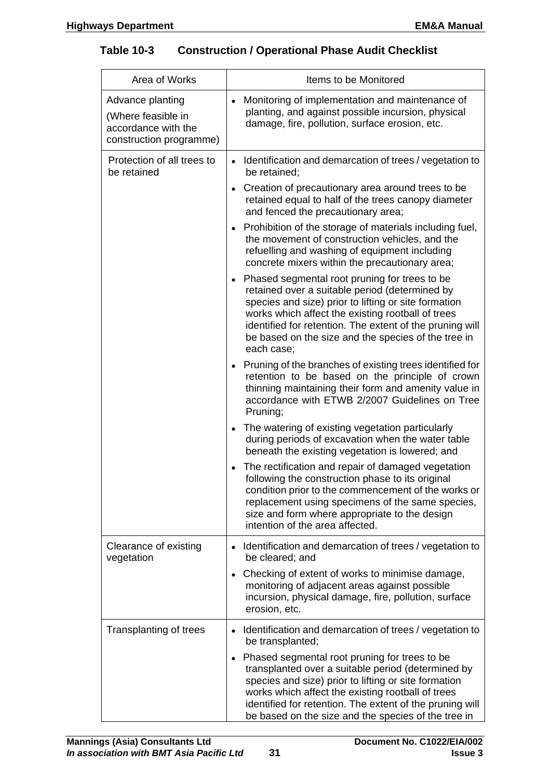| <b>Table 10-3</b> |  | <b>Construction / Operational Phase Audit Checklist</b> |  |
|-------------------|--|---------------------------------------------------------|--|
|-------------------|--|---------------------------------------------------------|--|

| Area of Works                                                                            | Items to be Monitored                                                                                                                                                                                                                                                                                                                                      |
|------------------------------------------------------------------------------------------|------------------------------------------------------------------------------------------------------------------------------------------------------------------------------------------------------------------------------------------------------------------------------------------------------------------------------------------------------------|
| Advance planting<br>(Where feasible in<br>accordance with the<br>construction programme) | Monitoring of implementation and maintenance of<br>planting, and against possible incursion, physical<br>damage, fire, pollution, surface erosion, etc.                                                                                                                                                                                                    |
| Protection of all trees to<br>be retained                                                | Identification and demarcation of trees / vegetation to<br>be retained:                                                                                                                                                                                                                                                                                    |
|                                                                                          | Creation of precautionary area around trees to be<br>$\bullet$<br>retained equal to half of the trees canopy diameter<br>and fenced the precautionary area;                                                                                                                                                                                                |
|                                                                                          | Prohibition of the storage of materials including fuel,<br>the movement of construction vehicles, and the<br>refuelling and washing of equipment including<br>concrete mixers within the precautionary area;                                                                                                                                               |
|                                                                                          | Phased segmental root pruning for trees to be<br>$\bullet$<br>retained over a suitable period (determined by<br>species and size) prior to lifting or site formation<br>works which affect the existing rootball of trees<br>identified for retention. The extent of the pruning will<br>be based on the size and the species of the tree in<br>each case; |
|                                                                                          | Pruning of the branches of existing trees identified for<br>retention to be based on the principle of crown<br>thinning maintaining their form and amenity value in<br>accordance with ETWB 2/2007 Guidelines on Tree<br>Pruning;                                                                                                                          |
|                                                                                          | The watering of existing vegetation particularly<br>during periods of excavation when the water table<br>beneath the existing vegetation is lowered; and                                                                                                                                                                                                   |
|                                                                                          | The rectification and repair of damaged vegetation<br>following the construction phase to its original<br>condition prior to the commencement of the works or<br>replacement using specimens of the same species,<br>size and form where appropriate to the design<br>intention of the area affected.                                                      |
| Clearance of existing<br>vegetation                                                      | Identification and demarcation of trees / vegetation to<br>be cleared; and                                                                                                                                                                                                                                                                                 |
|                                                                                          | Checking of extent of works to minimise damage,<br>$\bullet$<br>monitoring of adjacent areas against possible<br>incursion, physical damage, fire, pollution, surface<br>erosion, etc.                                                                                                                                                                     |
| Transplanting of trees                                                                   | Identification and demarcation of trees / vegetation to<br>$\bullet$<br>be transplanted;                                                                                                                                                                                                                                                                   |
|                                                                                          | Phased segmental root pruning for trees to be<br>$\bullet$<br>transplanted over a suitable period (determined by<br>species and size) prior to lifting or site formation<br>works which affect the existing rootball of trees<br>identified for retention. The extent of the pruning will<br>be based on the size and the species of the tree in           |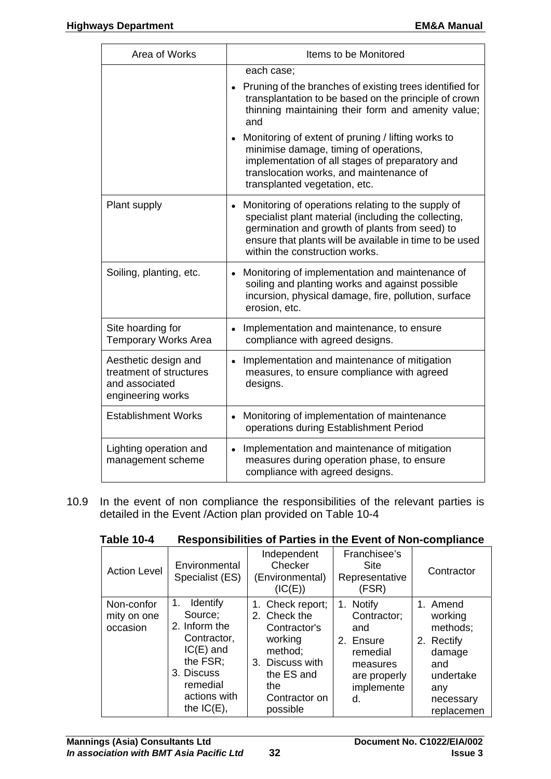| Area of Works                                                                          | Items to be Monitored                                                                                                                                                                                                                                                                                                                                                                                                         |
|----------------------------------------------------------------------------------------|-------------------------------------------------------------------------------------------------------------------------------------------------------------------------------------------------------------------------------------------------------------------------------------------------------------------------------------------------------------------------------------------------------------------------------|
|                                                                                        | each case;<br>• Pruning of the branches of existing trees identified for<br>transplantation to be based on the principle of crown<br>thinning maintaining their form and amenity value;<br>and<br>Monitoring of extent of pruning / lifting works to<br>minimise damage, timing of operations,<br>implementation of all stages of preparatory and<br>translocation works, and maintenance of<br>transplanted vegetation, etc. |
| Plant supply                                                                           | Monitoring of operations relating to the supply of<br>specialist plant material (including the collecting,<br>germination and growth of plants from seed) to<br>ensure that plants will be available in time to be used<br>within the construction works.                                                                                                                                                                     |
| Soiling, planting, etc.                                                                | Monitoring of implementation and maintenance of<br>$\bullet$<br>soiling and planting works and against possible<br>incursion, physical damage, fire, pollution, surface<br>erosion, etc.                                                                                                                                                                                                                                      |
| Site hoarding for<br><b>Temporary Works Area</b>                                       | Implementation and maintenance, to ensure<br>compliance with agreed designs.                                                                                                                                                                                                                                                                                                                                                  |
| Aesthetic design and<br>treatment of structures<br>and associated<br>engineering works | Implementation and maintenance of mitigation<br>$\bullet$<br>measures, to ensure compliance with agreed<br>designs.                                                                                                                                                                                                                                                                                                           |
| <b>Establishment Works</b>                                                             | Monitoring of implementation of maintenance<br>$\bullet$<br>operations during Establishment Period                                                                                                                                                                                                                                                                                                                            |
| Lighting operation and<br>management scheme                                            | Implementation and maintenance of mitigation<br>measures during operation phase, to ensure<br>compliance with agreed designs.                                                                                                                                                                                                                                                                                                 |

10.9 In the event of non compliance the responsibilities of the relevant parties is detailed in the Event /Action plan provided on Table 10-4

|--|

| <b>Action Level</b>                   | Environmental<br>Specialist (ES)                                                                                                                | Independent<br>Checker<br>(Environmental)<br>(IC(E))                                                                                        | Franchisee's<br><b>Site</b><br>Representative<br>(FSR)                                                   | Contractor                                                                                                    |
|---------------------------------------|-------------------------------------------------------------------------------------------------------------------------------------------------|---------------------------------------------------------------------------------------------------------------------------------------------|----------------------------------------------------------------------------------------------------------|---------------------------------------------------------------------------------------------------------------|
| Non-confor<br>mity on one<br>occasion | Identify<br>1.<br>Source;<br>2. Inform the<br>Contractor,<br>$IC(E)$ and<br>the FSR;<br>3. Discuss<br>remedial<br>actions with<br>the $IC(E)$ , | 1. Check report;<br>2. Check the<br>Contractor's<br>working<br>method;<br>3. Discuss with<br>the ES and<br>the<br>Contractor on<br>possible | 1. Notify<br>Contractor;<br>and<br>2. Ensure<br>remedial<br>measures<br>are properly<br>implemente<br>d. | 1. Amend<br>working<br>methods;<br>2. Rectify<br>damage<br>and<br>undertake<br>any<br>necessary<br>replacemen |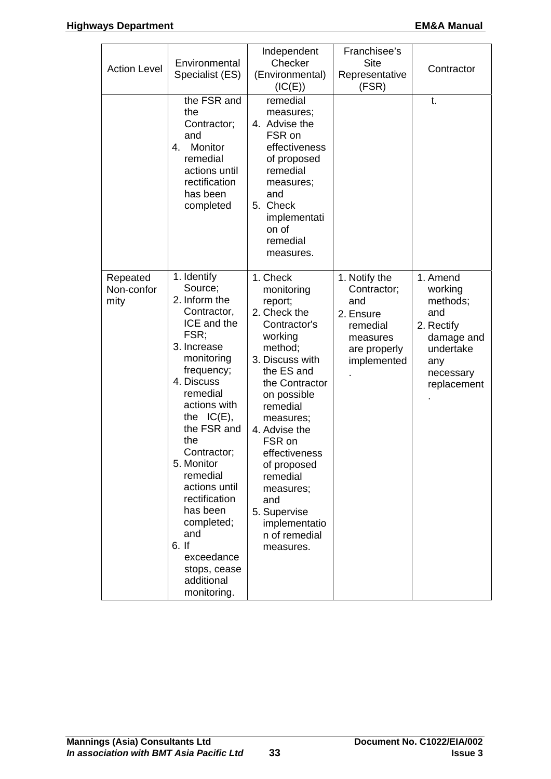| <b>Action Level</b>            | Environmental<br>Specialist (ES)<br>the FSR and<br>the<br>Contractor;<br>and<br>Monitor<br>4.<br>remedial<br>actions until<br>rectification<br>has been<br>completed                                                                                                                                                                                                                      | Independent<br>Checker<br>(Environmental)<br>(IC(E))<br>remedial<br>measures;<br>4. Advise the<br>FSR on<br>effectiveness<br>of proposed<br>remedial<br>measures;<br>and<br>5. Check<br>implementati<br>on of<br>remedial<br>measures.                                                                                                       | Franchisee's<br><b>Site</b><br>Representative<br>(FSR)                                                  | Contractor<br>t.                                                                                                   |
|--------------------------------|-------------------------------------------------------------------------------------------------------------------------------------------------------------------------------------------------------------------------------------------------------------------------------------------------------------------------------------------------------------------------------------------|----------------------------------------------------------------------------------------------------------------------------------------------------------------------------------------------------------------------------------------------------------------------------------------------------------------------------------------------|---------------------------------------------------------------------------------------------------------|--------------------------------------------------------------------------------------------------------------------|
| Repeated<br>Non-confor<br>mity | 1. Identify<br>Source;<br>2. Inform the<br>Contractor,<br>ICE and the<br>FSR;<br>3. Increase<br>monitoring<br>frequency;<br>4. Discuss<br>remedial<br>actions with<br>the $IC(E)$ ,<br>the FSR and<br>the<br>Contractor;<br>5. Monitor<br>remedial<br>actions until<br>rectification<br>has been<br>completed;<br>and<br>6. If<br>exceedance<br>stops, cease<br>additional<br>monitoring. | 1. Check<br>monitoring<br>report;<br>2. Check the<br>Contractor's<br>working<br>method;<br>3. Discuss with<br>the ES and<br>the Contractor<br>on possible<br>remedial<br>measures;<br>4. Advise the<br>FSR on<br>effectiveness<br>of proposed<br>remedial<br>measures;<br>and<br>5. Supervise<br>implementatio<br>n of remedial<br>measures. | 1. Notify the<br>Contractor;<br>and<br>2. Ensure<br>remedial<br>measures<br>are properly<br>implemented | 1. Amend<br>working<br>methods;<br>and<br>2. Rectify<br>damage and<br>undertake<br>any<br>necessary<br>replacement |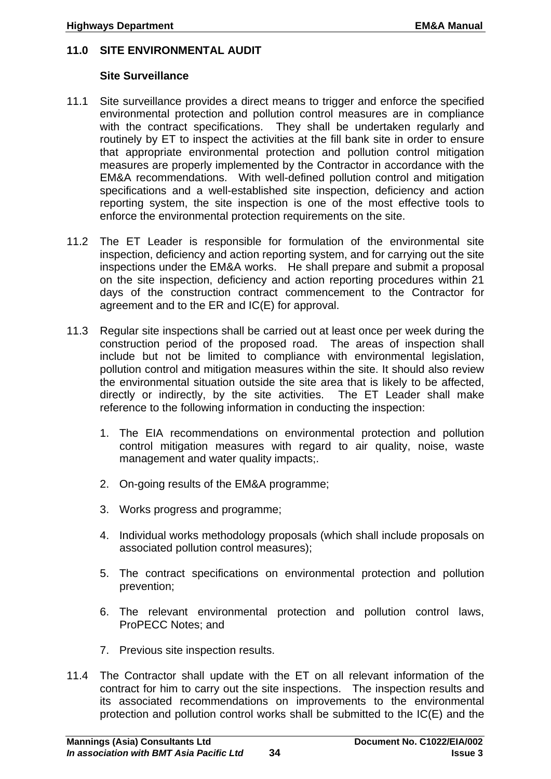#### <span id="page-37-0"></span>**11.0 SITE ENVIRONMENTAL AUDIT**

#### **Site Surveillance**

- 11.1 Site surveillance provides a direct means to trigger and enforce the specified environmental protection and pollution control measures are in compliance with the contract specifications. They shall be undertaken regularly and routinely by ET to inspect the activities at the fill bank site in order to ensure that appropriate environmental protection and pollution control mitigation measures are properly implemented by the Contractor in accordance with the EM&A recommendations. With well-defined pollution control and mitigation specifications and a well-established site inspection, deficiency and action reporting system, the site inspection is one of the most effective tools to enforce the environmental protection requirements on the site.
- 11.2 The ET Leader is responsible for formulation of the environmental site inspection, deficiency and action reporting system, and for carrying out the site inspections under the EM&A works. He shall prepare and submit a proposal on the site inspection, deficiency and action reporting procedures within 21 days of the construction contract commencement to the Contractor for agreement and to the ER and IC(E) for approval.
- 11.3 Regular site inspections shall be carried out at least once per week during the construction period of the proposed road. The areas of inspection shall include but not be limited to compliance with environmental legislation, pollution control and mitigation measures within the site. It should also review the environmental situation outside the site area that is likely to be affected, directly or indirectly, by the site activities. The ET Leader shall make reference to the following information in conducting the inspection:
	- 1. The EIA recommendations on environmental protection and pollution control mitigation measures with regard to air quality, noise, waste management and water quality impacts;.
	- 2. On-going results of the EM&A programme;
	- 3. Works progress and programme;
	- 4. Individual works methodology proposals (which shall include proposals on associated pollution control measures);
	- 5. The contract specifications on environmental protection and pollution prevention;
	- 6. The relevant environmental protection and pollution control laws, ProPECC Notes; and
	- 7. Previous site inspection results.
- 11.4 The Contractor shall update with the ET on all relevant information of the contract for him to carry out the site inspections. The inspection results and its associated recommendations on improvements to the environmental protection and pollution control works shall be submitted to the IC(E) and the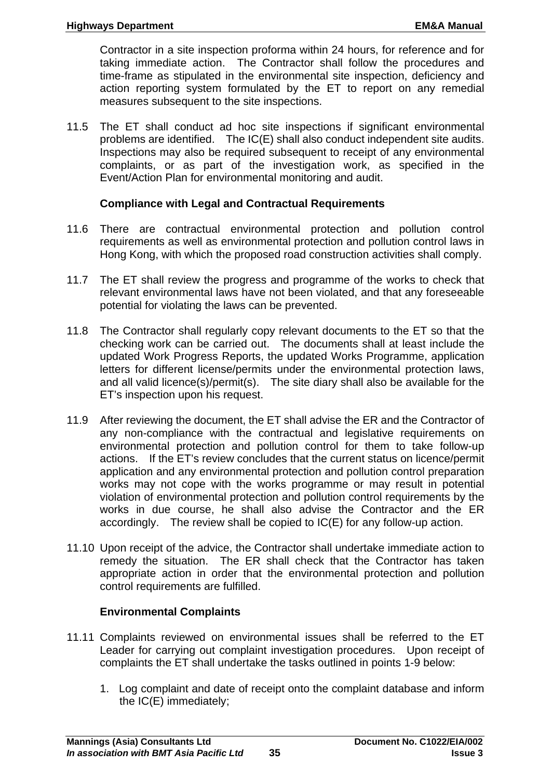Contractor in a site inspection proforma within 24 hours, for reference and for taking immediate action. The Contractor shall follow the procedures and time-frame as stipulated in the environmental site inspection, deficiency and action reporting system formulated by the ET to report on any remedial measures subsequent to the site inspections.

11.5 The ET shall conduct ad hoc site inspections if significant environmental problems are identified. The IC(E) shall also conduct independent site audits. Inspections may also be required subsequent to receipt of any environmental complaints, or as part of the investigation work, as specified in the Event/Action Plan for environmental monitoring and audit.

#### **Compliance with Legal and Contractual Requirements**

- 11.6 There are contractual environmental protection and pollution control requirements as well as environmental protection and pollution control laws in Hong Kong, with which the proposed road construction activities shall comply.
- 11.7 The ET shall review the progress and programme of the works to check that relevant environmental laws have not been violated, and that any foreseeable potential for violating the laws can be prevented.
- 11.8 The Contractor shall regularly copy relevant documents to the ET so that the checking work can be carried out. The documents shall at least include the updated Work Progress Reports, the updated Works Programme, application letters for different license/permits under the environmental protection laws, and all valid licence(s)/permit(s). The site diary shall also be available for the ET's inspection upon his request.
- 11.9 After reviewing the document, the ET shall advise the ER and the Contractor of any non-compliance with the contractual and legislative requirements on environmental protection and pollution control for them to take follow-up actions. If the ET's review concludes that the current status on licence/permit application and any environmental protection and pollution control preparation works may not cope with the works programme or may result in potential violation of environmental protection and pollution control requirements by the works in due course, he shall also advise the Contractor and the ER accordingly. The review shall be copied to IC(E) for any follow-up action.
- 11.10 Upon receipt of the advice, the Contractor shall undertake immediate action to remedy the situation. The ER shall check that the Contractor has taken appropriate action in order that the environmental protection and pollution control requirements are fulfilled.

#### **Environmental Complaints**

- 11.11 Complaints reviewed on environmental issues shall be referred to the ET Leader for carrying out complaint investigation procedures. Upon receipt of complaints the ET shall undertake the tasks outlined in points 1-9 below:
	- 1. Log complaint and date of receipt onto the complaint database and inform the IC(E) immediately;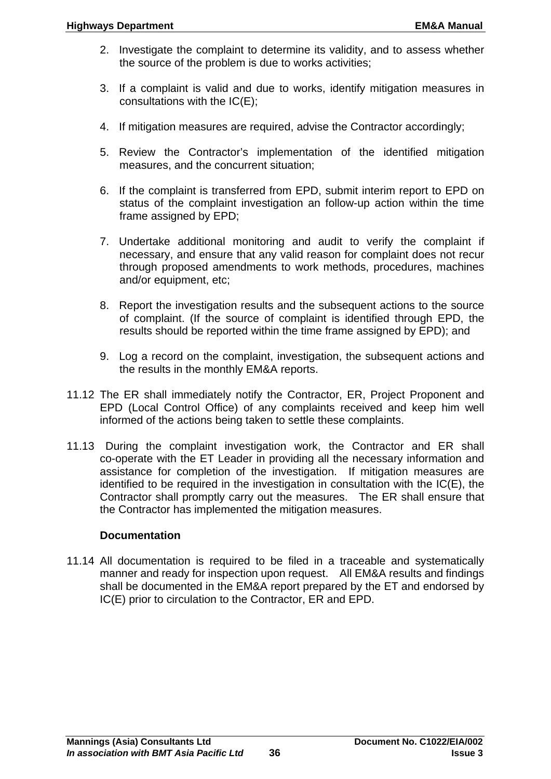- 2. Investigate the complaint to determine its validity, and to assess whether the source of the problem is due to works activities;
- 3. If a complaint is valid and due to works, identify mitigation measures in consultations with the IC(E);
- 4. If mitigation measures are required, advise the Contractor accordingly;
- 5. Review the Contractor's implementation of the identified mitigation measures, and the concurrent situation;
- 6. If the complaint is transferred from EPD, submit interim report to EPD on status of the complaint investigation an follow-up action within the time frame assigned by EPD;
- 7. Undertake additional monitoring and audit to verify the complaint if necessary, and ensure that any valid reason for complaint does not recur through proposed amendments to work methods, procedures, machines and/or equipment, etc;
- 8. Report the investigation results and the subsequent actions to the source of complaint. (If the source of complaint is identified through EPD, the results should be reported within the time frame assigned by EPD); and
- 9. Log a record on the complaint, investigation, the subsequent actions and the results in the monthly EM&A reports.
- 11.12 The ER shall immediately notify the Contractor, ER, Project Proponent and EPD (Local Control Office) of any complaints received and keep him well informed of the actions being taken to settle these complaints.
- 11.13 During the complaint investigation work, the Contractor and ER shall co-operate with the ET Leader in providing all the necessary information and assistance for completion of the investigation. If mitigation measures are identified to be required in the investigation in consultation with the IC(E), the Contractor shall promptly carry out the measures. The ER shall ensure that the Contractor has implemented the mitigation measures.

#### **Documentation**

11.14 All documentation is required to be filed in a traceable and systematically manner and ready for inspection upon request. All EM&A results and findings shall be documented in the EM&A report prepared by the ET and endorsed by IC(E) prior to circulation to the Contractor, ER and EPD.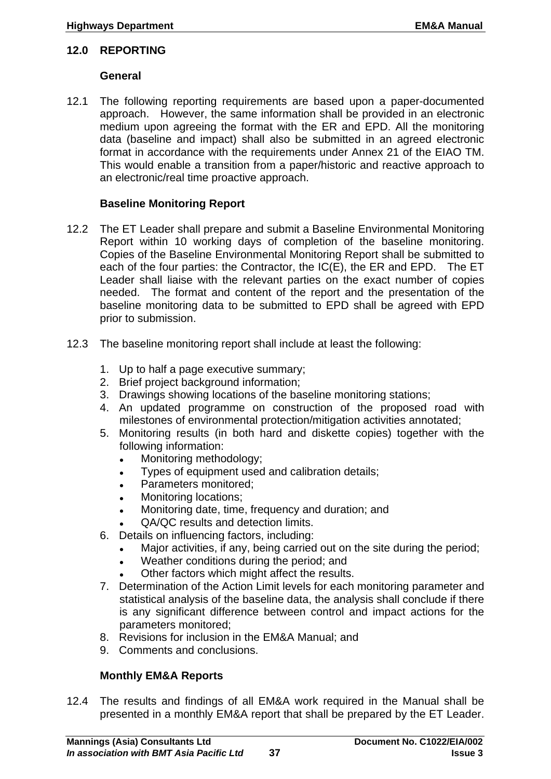#### <span id="page-40-0"></span>**12.0 REPORTING**

#### **General**

12.1 The following reporting requirements are based upon a paper-documented approach. However, the same information shall be provided in an electronic medium upon agreeing the format with the ER and EPD. All the monitoring data (baseline and impact) shall also be submitted in an agreed electronic format in accordance with the requirements under Annex 21 of the EIAO TM. This would enable a transition from a paper/historic and reactive approach to an electronic/real time proactive approach.

## **Baseline Monitoring Report**

- 12.2 The ET Leader shall prepare and submit a Baseline Environmental Monitoring Report within 10 working days of completion of the baseline monitoring. Copies of the Baseline Environmental Monitoring Report shall be submitted to each of the four parties: the Contractor, the IC(E), the ER and EPD. The ET Leader shall liaise with the relevant parties on the exact number of copies needed. The format and content of the report and the presentation of the baseline monitoring data to be submitted to EPD shall be agreed with EPD prior to submission.
- 12.3 The baseline monitoring report shall include at least the following:
	- 1. Up to half a page executive summary;
	- 2. Brief project background information;
	- 3. Drawings showing locations of the baseline monitoring stations;
	- 4. An updated programme on construction of the proposed road with milestones of environmental protection/mitigation activities annotated;
	- 5. Monitoring results (in both hard and diskette copies) together with the following information:
		- Monitoring methodology;
		- Types of equipment used and calibration details;
		- Parameters monitored;
		- Monitoring locations;
		- Monitoring date, time, frequency and duration; and
		- QA/QC results and detection limits.
	- 6. Details on influencing factors, including:
		- Major activities, if any, being carried out on the site during the period;
		- Weather conditions during the period; and
		- Other factors which might affect the results.
	- 7. Determination of the Action Limit levels for each monitoring parameter and statistical analysis of the baseline data, the analysis shall conclude if there is any significant difference between control and impact actions for the parameters monitored;
	- 8. Revisions for inclusion in the EM&A Manual; and
	- 9. Comments and conclusions.

# **Monthly EM&A Reports**

12.4 The results and findings of all EM&A work required in the Manual shall be presented in a monthly EM&A report that shall be prepared by the ET Leader.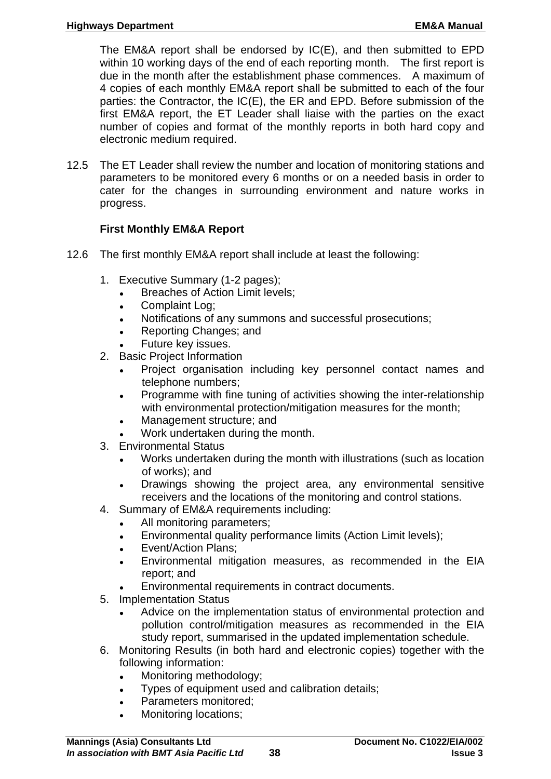The EM&A report shall be endorsed by IC(E), and then submitted to EPD within 10 working days of the end of each reporting month. The first report is due in the month after the establishment phase commences. A maximum of 4 copies of each monthly EM&A report shall be submitted to each of the four parties: the Contractor, the IC(E), the ER and EPD. Before submission of the first EM&A report, the ET Leader shall liaise with the parties on the exact number of copies and format of the monthly reports in both hard copy and electronic medium required.

12.5 The ET Leader shall review the number and location of monitoring stations and parameters to be monitored every 6 months or on a needed basis in order to cater for the changes in surrounding environment and nature works in progress.

## **First Monthly EM&A Report**

- 12.6 The first monthly EM&A report shall include at least the following:
	- 1. Executive Summary (1-2 pages);
		- Breaches of Action Limit levels;
		- Complaint Log;
		- Notifications of any summons and successful prosecutions;
		- Reporting Changes; and
		- Future key issues.
	- 2. Basic Project Information
		- Project organisation including key personnel contact names and telephone numbers;
		- Programme with fine tuning of activities showing the inter-relationship with environmental protection/mitigation measures for the month;
		- Management structure: and
		- Work undertaken during the month.
	- 3. Environmental Status
		- Works undertaken during the month with illustrations (such as location of works); and
		- Drawings showing the project area, any environmental sensitive receivers and the locations of the monitoring and control stations.
	- 4. Summary of EM&A requirements including:
		- All monitoring parameters;
		- Environmental quality performance limits (Action Limit levels);
		- Event/Action Plans;
		- Environmental mitigation measures, as recommended in the EIA report; and
		- Environmental requirements in contract documents.
	- 5. Implementation Status
		- Advice on the implementation status of environmental protection and pollution control/mitigation measures as recommended in the EIA study report, summarised in the updated implementation schedule.
	- 6. Monitoring Results (in both hard and electronic copies) together with the following information:
		- Monitoring methodology;
		- Types of equipment used and calibration details;
		- Parameters monitored;
		- Monitoring locations;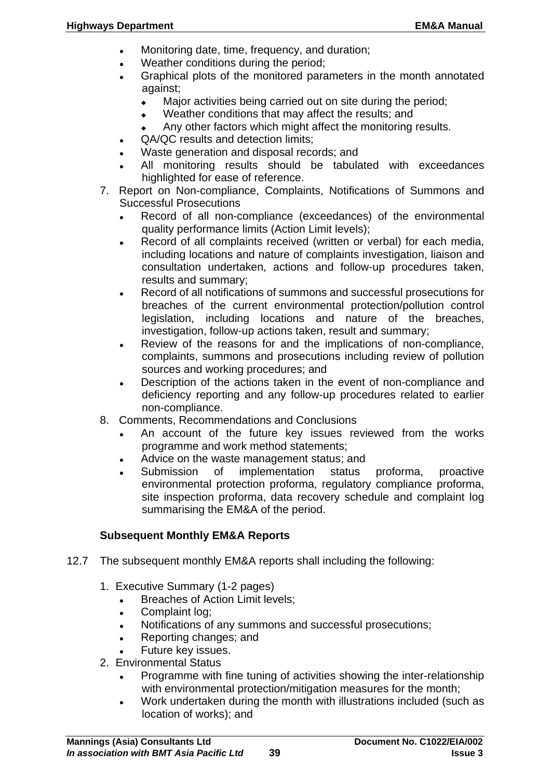- Monitoring date, time, frequency, and duration;
- Weather conditions during the period;
- Graphical plots of the monitored parameters in the month annotated against;
	- Major activities being carried out on site during the period;
	- Weather conditions that may affect the results; and
	- Any other factors which might affect the monitoring results.
- QA/QC results and detection limits:
- Waste generation and disposal records; and
- All monitoring results should be tabulated with exceedances highlighted for ease of reference.
- 7. Report on Non-compliance, Complaints, Notifications of Summons and Successful Prosecutions
	- Record of all non-compliance (exceedances) of the environmental quality performance limits (Action Limit levels);
	- Record of all complaints received (written or verbal) for each media, including locations and nature of complaints investigation, liaison and consultation undertaken, actions and follow-up procedures taken, results and summary;
	- Record of all notifications of summons and successful prosecutions for breaches of the current environmental protection/pollution control legislation, including locations and nature of the breaches, investigation, follow-up actions taken, result and summary;
	- Review of the reasons for and the implications of non-compliance, complaints, summons and prosecutions including review of pollution sources and working procedures; and
	- Description of the actions taken in the event of non-compliance and deficiency reporting and any follow-up procedures related to earlier non-compliance.
- 8. Comments, Recommendations and Conclusions
	- An account of the future key issues reviewed from the works programme and work method statements;
	- Advice on the waste management status; and
	- Submission of implementation status proforma, proactive environmental protection proforma, regulatory compliance proforma, site inspection proforma, data recovery schedule and complaint log summarising the EM&A of the period.

#### **Subsequent Monthly EM&A Reports**

- 12.7 The subsequent monthly EM&A reports shall including the following:
	- 1. Executive Summary (1-2 pages)
		- **Breaches of Action Limit levels;**
		- Complaint log;
		- Notifications of any summons and successful prosecutions;
		- Reporting changes; and
		- Future key issues.
	- 2. Environmental Status
		- Programme with fine tuning of activities showing the inter-relationship with environmental protection/mitigation measures for the month;
		- Work undertaken during the month with illustrations included (such as location of works); and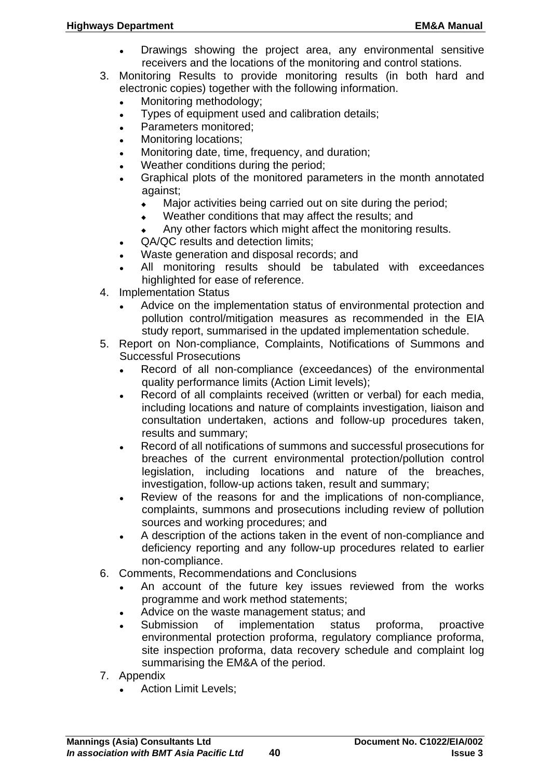- Drawings showing the project area, any environmental sensitive receivers and the locations of the monitoring and control stations.
- 3. Monitoring Results to provide monitoring results (in both hard and electronic copies) together with the following information.
	- Monitoring methodology;
	- Types of equipment used and calibration details;
	- Parameters monitored;
	- Monitoring locations;
	- Monitoring date, time, frequency, and duration;
	- Weather conditions during the period;
	- Graphical plots of the monitored parameters in the month annotated against;
		- Major activities being carried out on site during the period;
		- Weather conditions that may affect the results; and
		- Any other factors which might affect the monitoring results.
	- QA/QC results and detection limits;
	- Waste generation and disposal records; and
	- All monitoring results should be tabulated with exceedances highlighted for ease of reference.
- 4. Implementation Status
	- Advice on the implementation status of environmental protection and pollution control/mitigation measures as recommended in the EIA study report, summarised in the updated implementation schedule.
- 5. Report on Non-compliance, Complaints, Notifications of Summons and Successful Prosecutions
	- Record of all non-compliance (exceedances) of the environmental quality performance limits (Action Limit levels);
	- Record of all complaints received (written or verbal) for each media, including locations and nature of complaints investigation, liaison and consultation undertaken, actions and follow-up procedures taken, results and summary;
	- Record of all notifications of summons and successful prosecutions for breaches of the current environmental protection/pollution control legislation, including locations and nature of the breaches, investigation, follow-up actions taken, result and summary;
	- Review of the reasons for and the implications of non-compliance, complaints, summons and prosecutions including review of pollution sources and working procedures; and
	- A description of the actions taken in the event of non-compliance and deficiency reporting and any follow-up procedures related to earlier non-compliance.
- 6. Comments, Recommendations and Conclusions
	- An account of the future key issues reviewed from the works programme and work method statements;
	- Advice on the waste management status; and
	- Submission of implementation status proforma, proactive environmental protection proforma, regulatory compliance proforma, site inspection proforma, data recovery schedule and complaint log summarising the EM&A of the period.
- 7. Appendix
	- Action Limit Levels;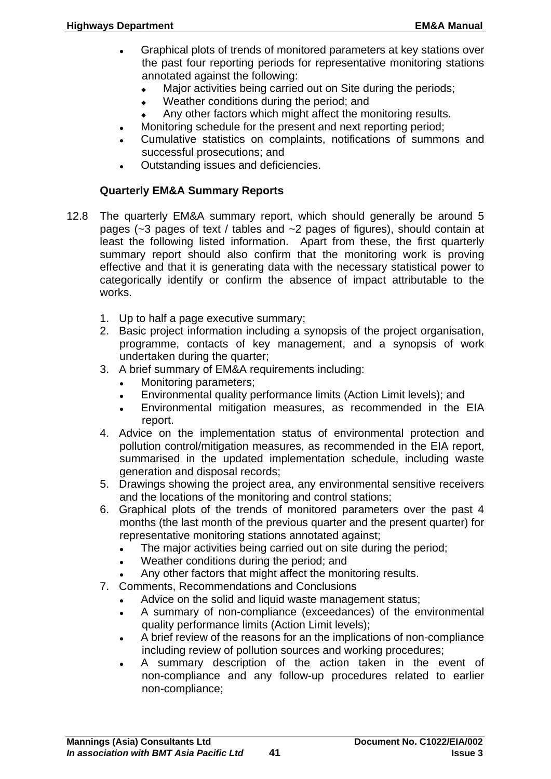- Graphical plots of trends of monitored parameters at key stations over the past four reporting periods for representative monitoring stations annotated against the following:
	- $\bullet$  Major activities being carried out on Site during the periods;
	- Weather conditions during the period; and
	- Any other factors which might affect the monitoring results.
- Monitoring schedule for the present and next reporting period;
- Cumulative statistics on complaints, notifications of summons and successful prosecutions; and
- Outstanding issues and deficiencies.

#### **Quarterly EM&A Summary Reports**

- 12.8 The quarterly EM&A summary report, which should generally be around 5 pages (~3 pages of text / tables and ~2 pages of figures), should contain at least the following listed information. Apart from these, the first quarterly summary report should also confirm that the monitoring work is proving effective and that it is generating data with the necessary statistical power to categorically identify or confirm the absence of impact attributable to the works.
	- 1. Up to half a page executive summary;
	- 2. Basic project information including a synopsis of the project organisation, programme, contacts of key management, and a synopsis of work undertaken during the quarter;
	- 3. A brief summary of EM&A requirements including:
		- Monitoring parameters;
		- Environmental quality performance limits (Action Limit levels); and
		- Environmental mitigation measures, as recommended in the EIA report.
	- 4. Advice on the implementation status of environmental protection and pollution control/mitigation measures, as recommended in the EIA report, summarised in the updated implementation schedule, including waste generation and disposal records;
	- 5. Drawings showing the project area, any environmental sensitive receivers and the locations of the monitoring and control stations;
	- 6. Graphical plots of the trends of monitored parameters over the past 4 months (the last month of the previous quarter and the present quarter) for representative monitoring stations annotated against;
		- The major activities being carried out on site during the period;
		- Weather conditions during the period; and
		- Any other factors that might affect the monitoring results.
	- 7. Comments, Recommendations and Conclusions
		- Advice on the solid and liquid waste management status;
		- A summary of non-compliance (exceedances) of the environmental quality performance limits (Action Limit levels);
		- A brief review of the reasons for an the implications of non-compliance including review of pollution sources and working procedures;
		- A summary description of the action taken in the event of non-compliance and any follow-up procedures related to earlier non-compliance;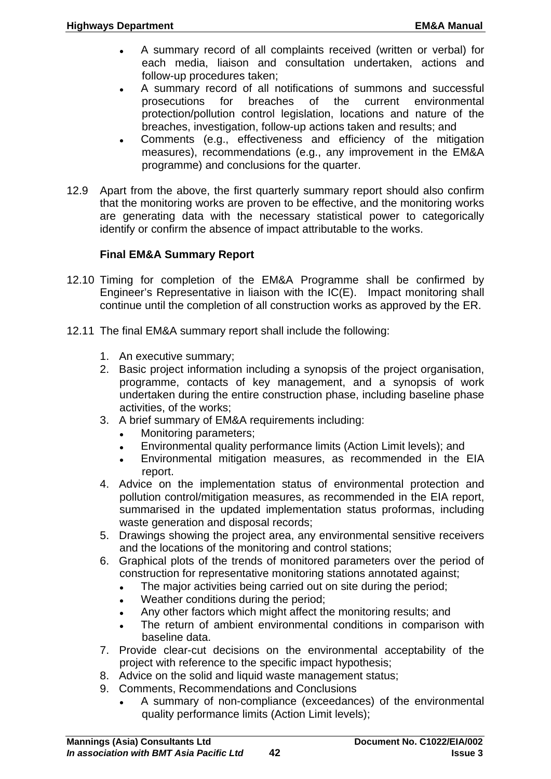- A summary record of all complaints received (written or verbal) for each media, liaison and consultation undertaken, actions and follow-up procedures taken;
- A summary record of all notifications of summons and successful prosecutions for breaches of the current environmental protection/pollution control legislation, locations and nature of the breaches, investigation, follow-up actions taken and results; and
- Comments (e.g., effectiveness and efficiency of the mitigation measures), recommendations (e.g., any improvement in the EM&A programme) and conclusions for the quarter.
- 12.9 Apart from the above, the first quarterly summary report should also confirm that the monitoring works are proven to be effective, and the monitoring works are generating data with the necessary statistical power to categorically identify or confirm the absence of impact attributable to the works.

# **Final EM&A Summary Report**

- 12.10 Timing for completion of the EM&A Programme shall be confirmed by Engineer's Representative in liaison with the IC(E). Impact monitoring shall continue until the completion of all construction works as approved by the ER.
- 12.11 The final EM&A summary report shall include the following:
	- 1. An executive summary;
	- 2. Basic project information including a synopsis of the project organisation, programme, contacts of key management, and a synopsis of work undertaken during the entire construction phase, including baseline phase activities, of the works;
	- 3. A brief summary of EM&A requirements including:
		- Monitoring parameters;
		- Environmental quality performance limits (Action Limit levels); and
		- Environmental mitigation measures, as recommended in the EIA report.
	- 4. Advice on the implementation status of environmental protection and pollution control/mitigation measures, as recommended in the EIA report, summarised in the updated implementation status proformas, including waste generation and disposal records;
	- 5. Drawings showing the project area, any environmental sensitive receivers and the locations of the monitoring and control stations;
	- 6. Graphical plots of the trends of monitored parameters over the period of construction for representative monitoring stations annotated against;
		- . The major activities being carried out on site during the period;
		- Weather conditions during the period;
		- Any other factors which might affect the monitoring results; and
		- The return of ambient environmental conditions in comparison with baseline data.
	- 7. Provide clear-cut decisions on the environmental acceptability of the project with reference to the specific impact hypothesis;
	- 8. Advice on the solid and liquid waste management status;
	- 9. Comments, Recommendations and Conclusions
		- A summary of non-compliance (exceedances) of the environmental quality performance limits (Action Limit levels);